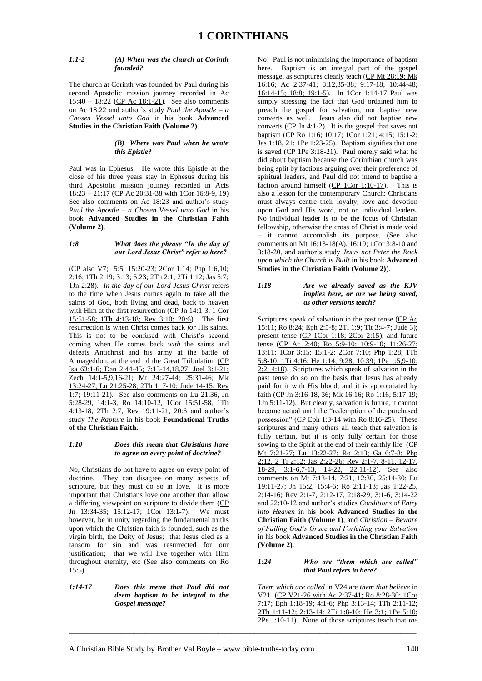# *1:1-2 (A) When was the church at Corinth founded?*

The church at Corinth was founded by Paul during his second Apostolic mission journey recorded in Ac 15:40 – 18:22 (CP Ac 18:1-21). See also comments on Ac 18:22 and author's study *Paul the Apostle – a Chosen Vessel unto God* in his book **Advanced Studies in the Christian Faith (Volume 2)**.

#### *(B) Where was Paul when he wrote this Epistle?*

Paul was in Ephesus. He wrote this Epistle at the close of his three years stay in Ephesus during his third Apostolic mission journey recorded in Acts 18:23 – 21:17 (CP Ac 20:31-38 with 1Cor 16:8-9, 19) See also comments on Ac 18:23 and author's study *Paul the Apostle – a Chosen Vessel unto God* in his book **Advanced Studies in the Christian Faith (Volume 2)**.

### *1:8 What does the phrase "In the day of our Lord Jesus Christ" refer to here?*

(CP also V7; 5:5; 15:20-23; 2Cor 1:14; Php 1:6,10; 2:16; 1Th 2:19; 3:13; 5:23; 2Th 2:1; 2Ti 1:12; Jas 5:7; 1Jn 2:28). *In the day of our Lord Jesus Christ* refers to the time when Jesus comes again to take all the saints of God, both living and dead, back to heaven with Him at the first resurrection  $(CP \text{ Jn } 14:1-3; 1 \text{ Cor } 14:1)$ 15:51-58; 1Th 4:13-18; Rev 3:10; 20:6). The first resurrection is when Christ comes back *for* His saints. This is not to be confused with Christ's second coming when He comes back *with* the saints and defeats Antichrist and his army at the battle of Armageddon, at the end of the Great Tribulation (CP Isa 63:1-6; Dan 2:44-45; 7:13-14,18,27; Joel 3:1-21; Zech 14:1-5,9,16-21; Mt 24:27-44; 25:31-46; Mk 13:24-27; Lu 21:25-28; 2Th 1: 7-10; Jude 14-15; Rev 1:7; 19:11-21). See also comments on Lu 21:36, Jn 5:28-29, 14:1-3, Ro 14:10-12, 1Cor 15:51-58, 1Th 4:13-18, 2Th 2:7, Rev 19:11-21, 20:6 and author's study *The Rapture* in his book **Foundational Truths of the Christian Faith.** 

# *1:10 Does this mean that Christians have to agree on every point of doctrine?*

No, Christians do not have to agree on every point of doctrine. They can disagree on many aspects of scripture, but they must do so in love. It is more important that Christians love one another than allow a differing viewpoint on scripture to divide them (CP Jn 13:34-35; 15:12-17; 1Cor 13:1-7). We must however, be in unity regarding the fundamental truths upon which the Christian faith is founded, such as the virgin birth, the Deity of Jesus; that Jesus died as a ransom for sin and was resurrected for our justification; that we will live together with Him throughout eternity, etc (See also comments on Ro 15:5).

*1:14-17 Does this mean that Paul did not deem baptism to be integral to the Gospel message?*

No! Paul is not minimising the importance of baptism here. Baptism is an integral part of the gospel message, as scriptures clearly teach (CP Mt 28:19; Mk 16:16; Ac 2:37-41; 8:12,35-38; 9:17-18; 10:44-48; 16:14-15; 18:8; 19:1-5). In 1Cor 1:14-17 Paul was simply stressing the fact that God ordained him to preach the gospel for salvation, not baptise new converts as well. Jesus also did not baptise new converts  $(CP \text{ In } 4:1-2)$ . It is the gospel that saves not baptism (CP Ro 1:16; 10:17; 1Cor 1:21; 4:15; 15:1-2; Jas 1:18, 21; 1Pe 1:23-25). Baptism signifies that one is saved (CP 1Pe 3:18-21). Paul merely said what he did about baptism because the Corinthian church was being split by factions arguing over their preference of spiritual leaders, and Paul did not intend to baptise a faction around himself (CP 1Cor 1:10-17). This is also a lesson for the contemporary Church: Christians must always centre their loyalty, love and devotion upon God and His word, not on individual leaders. No individual leader is to be the focus of Christian fellowship, otherwise the cross of Christ is made void – it cannot accomplish its purpose. (See also comments on Mt 16:13-18(A), 16:19; 1Cor 3:8-10 and 3:18-20, and author's study *Jesus not Peter the Rock upon which the Church is Built* in his book **Advanced Studies in the Christian Faith (Volume 2)**).

#### *1:18 Are we already saved as the KJV implies here, or are we being saved, as other versions teach?*

Scriptures speak of salvation in the past tense (CP Ac 15:11; Ro 8:24; Eph 2:5-8; 2Ti 1:9; Tit 3:4-7; Jude 3); present tense (CP 1Cor 1:18; 2Cor 2:15); and future tense (CP Ac 2:40; Ro 5:9-10; 10:9-10; 11:26-27; 13:11; 1Cor 3:15; 15:1-2; 2Cor 7:10; Php 1:28; 1Th 5:8-10; 1Ti 4:16; He 1:14; 9:28; 10:39; 1Pe 1:5,9-10; 2:2; 4:18). Scriptures which speak of salvation in the past tense do so on the basis that Jesus has already paid for it with His blood, and it is appropriated by faith (CP Jn 3:16-18, 36; Mk 16:16; Ro 1:16; 5:17-19; 1Jn 5:11-12). But clearly, salvation is future, it cannot become actual until the "redemption of the purchased possession" (CP Eph 1:3-14 with Ro 8:16-25). These scriptures and many others all teach that salvation is fully certain, but it is only fully certain for those sowing to the Spirit at the end of their earthly life (CP Mt 7:21-27; Lu 13:22-27; Ro 2:13; Ga 6:7-8; Php 2:12, 2 Ti 2:12; Jas 2:22-26; Rev 2:1-7, 8-11, 12-17, 18-29, 3:1-6,7-13, 14-22, 22:11-12). See also comments on Mt 7:13-14, 7:21, 12:30, 25:14-30; Lu 19:11-27; Jn 15:2, 15:4-6; Ro 2:11-13; Jas 1:22-25, 2:14-16; Rev 2:1-7, 2:12-17, 2:18-29, 3:1-6, 3:14-22 and 22:10-12 and author's studies *Conditions of Entry into Heaven* in his book **Advanced Studies in the Christian Faith (Volume 1)**, and *Christian – Beware of Failing God's Grace and Forfeiting your Salvation*  in his book **Advanced Studies in the Christian Faith (Volume 2)**.

# *1:24 Who are "them which are called" that Paul refers to here?*

*Them which are called* in V24 are *them that believe* in V21 (CP V21-26 with Ac 2:37-41; Ro 8:28-30; 1Cor 7:17; Eph 1:18-19; 4:1-6; Php 3:13-14; 1Th 2:11-12; 2Th 1:11-12; 2:13-14: 2Ti 1:8-10; He 3:1; 1Pe 5:10; 2Pe 1:10-11). None of those scriptures teach that *the*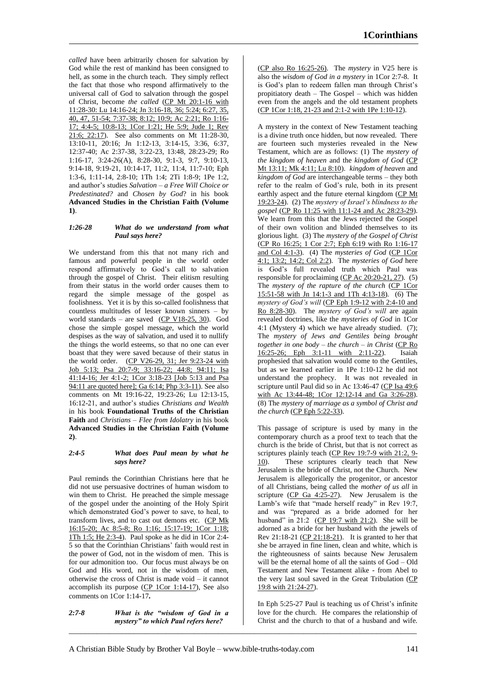*called* have been arbitrarily chosen for salvation by God while the rest of mankind has been consigned to hell, as some in the church teach. They simply reflect the fact that those who respond affirmatively to the universal call of God to salvation through the gospel of Christ, become *the called* (CP Mt 20:1-16 with 11:28-30: Lu 14:16-24; Jn 3:16-18, 36; 5:24; 6:27, 35, 40, 47, 51-54; 7:37-38; 8:12; 10:9; Ac 2:21; Ro 1:16- 17; 4:4-5; 10:8-13; 1Cor 1:21; He 5:9; Jude 1; Rev 21:6; 22:17). See also comments on Mt 11:28-30, 13:10-11, 20:16; Jn 1:12-13, 3:14-15, 3:36, 6:37, 12:37-40; Ac 2:37-38, 3:22-23, 13:48, 28:23-29; Ro 1:16-17, 3:24-26(A), 8:28-30, 9:1-3, 9:7, 9:10-13, 9:14-18, 9:19-21, 10:14-17, 11:2, 11:4, 11:7-10; Eph 1:3-6, 1:11-14, 2:8-10; 1Th 1:4; 2Ti 1:8-9; 1Pe 1:2, and author's studies *Salvation – a Free Will Choice or Predestinated?* and *Chosen by God*? in his book **Advanced Studies in the Christian Faith (Volume 1)**.

# *1:26-28 What do we understand from what Paul says here?*

We understand from this that not many rich and famous and powerful people in the world order respond affirmatively to God's call to salvation through the gospel of Christ. Their elitism resulting from their status in the world order causes them to regard the simple message of the gospel as foolishness. Yet it is by this so-called foolishness that countless multitudes of lesser known sinners – by world standards – are saved  $(\underline{CP}$  V18-25, 30). God chose the simple gospel message, which the world despises as the way of salvation, and used it to nullify the things the world esteems, so that no one can ever boast that they were saved because of their status in the world order. (CP V26-29, 31; Jer 9:23-24 with Job 5:13; Psa 20:7-9; 33:16-22; 44:8; 94:11; Isa 41:14-16; Jer 4:1-2; 1Cor 3:18-23 [Job 5:13 and Psa 94:11 are quoted here]; Ga 6:14; Php 3:3-11). See also comments on Mt 19:16-22, 19:23-26; Lu 12:13-15, 16:12-21, and author's studies *Christians and Wealth* in his book **Foundational Truths of the Christian Faith** and *Christians – Flee from Idolatry* in his book **Advanced Studies in the Christian Faith (Volume 2)**.

### *2:4-5 What does Paul mean by what he says here?*

Paul reminds the Corinthian Christians here that he did not use persuasive doctrines of human wisdom to win them to Christ. He preached the simple message of the gospel under the anointing of the Holy Spirit which demonstrated God's power to save, to heal, to transform lives, and to cast out demons etc. (CP Mk 16:15-20; Ac 8:5-8; Ro 1:16; 15:17-19; 1Cor 1:18; 1Th 1:5; He 2:3-4). Paul spoke as he did in 1Cor 2:4- 5 so that the Corinthian Christians' faith would rest in the power of God, not in the wisdom of men. This is for our admonition too. Our focus must always be on God and His word, not in the wisdom of men, otherwise the cross of Christ is made void – it cannot accomplish its purpose  $(CP 1Cor 1:14-17)$ , See also comments on 1Cor 1:14-17*.*

### *2:7-8 What is the "wisdom of God in a mystery" to which Paul refers here?*

(CP also Ro 16:25-26). The *mystery* in V25 here is also the *wisdom of God in a mystery* in 1Cor 2:7-8. It is God's plan to redeem fallen man through Christ's propitiatory death – The Gospel – which was hidden even from the angels and the old testament prophets (CP 1Cor 1:18, 21-23 and 2:1-2 with 1Pe 1:10-12).

A mystery in the context of New Testament teaching is a divine truth once hidden, but now revealed. There are fourteen such mysteries revealed in the New Testament, which are as follows: (1) The *mystery of the kingdom of heaven* and the *kingdom of God* (CP Mt 13:11; Mk 4:11; Lu 8:10). *kingdom of heaven* and *kingdom of God* are interchangeable terms – they both refer to the realm of God's rule, both in its present earthly aspect and the future eternal kingdom (CP Mt 19:23-24). (2) The *mystery of Israel's blindness to the gospel* (CP Ro 11:25 with 11:1-24 and Ac 28:23-29). We learn from this that the Jews rejected the Gospel of their own volition and blinded themselves to its glorious light. (3) The *mystery of the Gospel of Christ* (CP Ro 16:25; 1 Cor 2:7; Eph 6:19 with Ro 1:16-17 and Col 4:1-3). (4) The *mysteries of God* (CP 1Cor 4:1; 13:2; 14:2; Col 2:2). The *mysteries of God* here is God's full revealed truth which Paul was responsible for proclaiming (CP Ac 20:20-21, 27). (5) The *mystery of the rapture of the church* (CP 1Cor 15:51-58 with Jn 14:1-3 and 1Th 4:13-18). (6) The *mystery of God's will* (CP Eph 1:9-12 with 2:4-10 and Ro 8:28-30). The *mystery of God's will* are again revealed doctrines, like the *mysteries of God* in 1Cor 4:1 (Mystery 4) which we have already studied. (7); The *mystery of Jews and Gentiles being brought together in one body – the church – in Christ* (CP Ro 16:25-26; Eph 3:1-11 with 2:11-22). Isaiah prophesied that salvation would come to the Gentiles, but as we learned earlier in 1Pe 1:10-12 he did not understand the prophecy. It was not revealed in scripture until Paul did so in Ac 13:46-47 (CP Isa 49:6 with Ac 13:44-48; 1Cor 12:12-14 and Ga 3:26-28). (8) The *mystery of marriage as a symbol of Christ and the church* (CP Eph 5:22-33).

This passage of scripture is used by many in the contemporary church as a proof text to teach that the church is the bride of Christ, but that is not correct as scriptures plainly teach (CP Rev 19:7-9 with 21:2, 9-10). These scriptures clearly teach that New Jerusalem is the bride of Christ, not the Church. New Jerusalem is allegorically the progenitor, or ancestor of all Christians, being called the *mother of us all* in scripture (CP Ga 4:25-27). New Jerusalem is the Lamb's wife that "made herself ready" in Rev 19:7, and was "prepared as a bride adorned for her husband" in  $21:2$  (CP 19:7 with  $21:2$ ). She will be adorned as a bride for her husband with the jewels of Rev 21:18-21 (CP 21:18-21). It is granted to her that she be arrayed in fine linen, clean and white, which is the righteousness of saints because New Jerusalem will be the eternal home of all the saints of God – Old Testament and New Testament alike - from Abel to the very last soul saved in the Great Tribulation (CP 19:8 with 21:24-27).

In Eph 5:25-27 Paul is teaching us of Christ's infinite love for the church. He compares the relationship of Christ and the church to that of a husband and wife.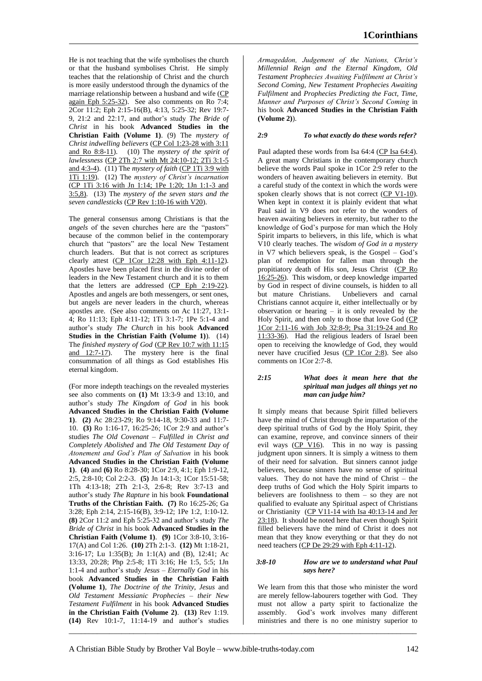He is not teaching that the wife symbolises the church or that the husband symbolises Christ. He simply teaches that the relationship of Christ and the church is more easily understood through the dynamics of the marriage relationship between a husband and wife (CP again Eph 5:25-32). See also comments on Ro 7:4; 2Cor 11:2; Eph 2:15-16(B), 4:13, 5:25-32; Rev 19:7- 9, 21:2 and 22:17, and author's study *The Bride of Christ* in his book **Advanced Studies in the Christian Faith (Volume 1)**. (9) The *mystery of Christ indwelling believers* (CP Col 1:23-28 with 3:11 and Ro 8:8-11). (10) The *mystery of the spirit of lawlessness* (CP 2Th 2:7 with Mt 24:10-12; 2Ti 3:1-5 and 4:3-4). (11) The *mystery of faith* (CP 1Ti 3:9 with 1Ti 1:19). (12) The *mystery of Christ's incarnation*  (CP 1Ti 3:16 with Jn 1:14; 1Pe 1:20; 1Jn 1:1-3 and 3:5,8). (13) The *mystery of the seven stars and the seven candlesticks* (CP Rev 1:10-16 with V20).

The general consensus among Christians is that the *angels* of the seven churches here are the "pastors" because of the common belief in the contemporary church that "pastors" are the local New Testament church leaders. But that is not correct as scriptures clearly attest (CP 1Cor 12:28 with Eph 4:11-12). Apostles have been placed first in the divine order of leaders in the New Testament church and it is to them that the letters are addressed (CP Eph 2:19-22). Apostles and angels are both messengers, or sent ones, but angels are never leaders in the church, whereas apostles are. (See also comments on Ac 11:27, 13:1- 4; Ro 11:13; Eph 4:11-12; 1Ti 3:1-7; 1Pe 5:1-4 and author's study *The Church* in his book **Advanced Studies in the Christian Faith (Volume 1)**). (14) The *finished mystery of God* (CP Rev 10:7 with 11:15 and 12:7-17). The mystery here is the final consummation of all things as God establishes His eternal kingdom.

(For more indepth teachings on the revealed mysteries see also comments on **(1)** Mt 13:3-9 and 13:10, and author's study *The Kingdom of God* in his book **Advanced Studies in the Christian Faith (Volume 1)**. **(2)** Ac 28:23-29; Ro 9:14-18, 9:30-33 and 11:7- 10. **(3)** Ro 1:16-17, 16:25-26; 1Cor 2:9 and author's studies *The Old Covenant – Fulfilled in Christ and Completely Abolished* and *The Old Testament Day of Atonement and God's Plan of Salvation* in his book **Advanced Studies in the Christian Faith (Volume 1)**. **(4)** and **(6)** Ro 8:28-30; 1Cor 2:9, 4:1; Eph 1:9-12, 2:5, 2:8-10; Col 2:2-3. **(5)** Jn 14:1-3; 1Cor 15:51-58; 1Th 4:13-18; 2Th 2:1-3, 2:6-8; Rev 3:7-13 and author's study *The Rapture* in his book **Foundational Truths of the Christian Faith. (7)** Ro 16:25-26; Ga 3:28; Eph 2:14, 2:15-16(B), 3:9-12; 1Pe 1:2, 1:10-12. **(8)** 2Cor 11:2 and Eph 5:25-32 and author's study *The Bride of Christ* in his book **Advanced Studies in the Christian Faith (Volume 1)**. **(9)** 1Cor 3:8-10, 3:16- 17(A) and Col 1:26. **(10)** 2Th 2:1-3. **(12)** Mt 1:18-21, 3:16-17; Lu 1:35(B); Jn 1:1(A) and (B), 12:41; Ac 13:33, 20:28; Php 2:5-8; 1Ti 3:16; He 1:5, 5:5; 1Jn 1:1-4 and author's study *Jesus – Eternally God* in his book **Advanced Studies in the Christian Faith (Volume 1)**, *The Doctrine of the Trinity, Jesus* and *Old Testament Messianic Prophecies – their New Testament Fulfilment* in his book **Advanced Studies in the Christian Faith (Volume 2)**. **(13)** Rev 1:19. **(14)** Rev 10:1-7, 11:14-19 and author's studies

*Armageddon, Judgement of the Nations, Christ's Millennial Reign and the Eternal Kingdom, Old Testament Prophecies Awaiting Fulfilment at Christ's Second Coming, New Testament Prophecies Awaiting Fulfilment* and *Prophecies Predicting the Fact, Time, Manner and Purposes of Christ's Second Coming* in his book **Advanced Studies in the Christian Faith (Volume 2)**).

# *2:9 To what exactly do these words refer?*

Paul adapted these words from Isa 64:4 (CP Isa 64:4). A great many Christians in the contemporary church believe the words Paul spoke in 1Cor 2:9 refer to the wonders of heaven awaiting believers in eternity. But a careful study of the context in which the words were spoken clearly shows that is not correct (CP V1-10). When kept in context it is plainly evident that what Paul said in V9 does not refer to the wonders of heaven awaiting believers in eternity, but rather to the knowledge of God's purpose for man which the Holy Spirit imparts to believers, in this life, which is what V10 clearly teaches. The *wisdom of God in a mystery* in V7 which believers speak, is the Gospel – God's plan of redemption for fallen man through the propitiatory death of His son, Jesus Christ (CP Ro 16:25-26). This wisdom, or deep knowledge imparted by God in respect of divine counsels, is hidden to all but mature Christians. Unbelievers and carnal Christians cannot acquire it, either intellectually or by observation or hearing – it is only revealed by the Holy Spirit, and then only to those that love God (CP 1Cor 2:11-16 with Job 32:8-9; Psa 31:19-24 and Ro 11:33-36). Had the religious leaders of Israel been open to receiving the knowledge of God, they would never have crucified Jesus (CP 1Cor 2:8). See also comments on 1Cor 2:7-8.

# *2:15 What does it mean here that the spiritual man judges all things yet no man can judge him?*

It simply means that because Spirit filled believers have the mind of Christ through the impartation of the deep spiritual truths of God by the Holy Spirit, they can examine, reprove, and convince sinners of their evil ways (CP V16). This in no way is passing judgment upon sinners. It is simply a witness to them of their need for salvation. But sinners cannot judge believers, because sinners have no sense of spiritual values. They do not have the mind of Christ – the deep truths of God which the Holy Spirit imparts to believers are foolishness to them – so they are not qualified to evaluate any Spiritual aspect of Christians or Christianity (CP V11-14 with Isa 40:13-14 and Jer 23:18). It should be noted here that even though Spirit filled believers have the mind of Christ it does not mean that they know everything or that they do not need teachers (CP De 29:29 with Eph 4:11-12).

### *3:8-10 How are we to understand what Paul says here?*

We learn from this that those who minister the word are merely fellow-labourers together with God. They must not allow a party spirit to factionalize the assembly. God's work involves many different ministries and there is no one ministry superior to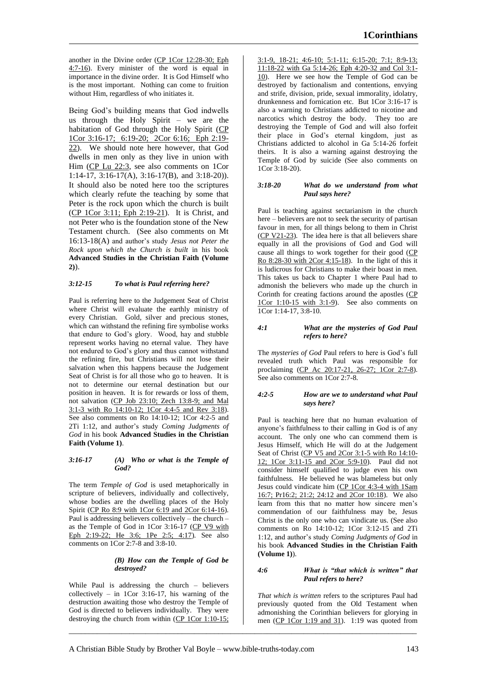another in the Divine order (CP 1Cor 12:28-30; Eph 4:7-16). Every minister of the word is equal in importance in the divine order. It is God Himself who is the most important. Nothing can come to fruition without Him, regardless of who initiates it.

Being God's building means that God indwells us through the Holy Spirit – we are the habitation of God through the Holy Spirit (CP 1Cor 3:16-17; 6:19-20; 2Cor 6:16; Eph 2:19- 22). We should note here however, that God dwells in men only as they live in union with Him (CP Lu 22:3, see also comments on 1Cor 1:14-17, 3:16-17(A), 3:16-17(B), and 3:18-20)). It should also be noted here too the scriptures which clearly refute the teaching by some that Peter is the rock upon which the church is built (CP 1Cor 3:11; Eph 2:19-21). It is Christ, and not Peter who is the foundation stone of the New Testament church. (See also comments on Mt 16:13-18(A) and author's study *Jesus not Peter the Rock upon which the Church is built* in his book **Advanced Studies in the Christian Faith (Volume 2)**).

# *3:12-15 To what is Paul referring here?*

Paul is referring here to the Judgement Seat of Christ where Christ will evaluate the earthly ministry of every Christian. Gold, silver and precious stones, which can withstand the refining fire symbolise works that endure to God's glory. Wood, hay and stubble represent works having no eternal value. They have not endured to God's glory and thus cannot withstand the refining fire, but Christians will not lose their salvation when this happens because the Judgement Seat of Christ is for all those who go to heaven. It is not to determine our eternal destination but our position in heaven. It is for rewards or loss of them, not salvation (CP Job 23:10; Zech 13:8-9; and Mal 3:1-3 with Ro 14:10-12; 1Cor 4:4-5 and Rev 3:18). See also comments on Ro 14:10-12; 1Cor 4:2-5 and 2Ti 1:12, and author's study *Coming Judgments of God* in his book **Advanced Studies in the Christian Faith (Volume 1)**.

### *3:16-17 (A) Who or what is the Temple of God?*

The term *Temple of God* is used metaphorically in scripture of believers, individually and collectively, whose bodies are the dwelling places of the Holy Spirit (CP Ro 8:9 with 1Cor 6:19 and 2Cor 6:14-16). Paul is addressing believers collectively – the church – as the Temple of God in 1Cor 3:16-17 (CP V9 with Eph 2:19-22; He 3:6; 1Pe 2:5; 4:17). See also comments on 1Cor 2:7-8 and 3:8-10.

# *(B) How can the Temple of God be destroyed?*

While Paul is addressing the church – believers collectively – in 1Cor 3:16-17, his warning of the destruction awaiting those who destroy the Temple of God is directed to believers individually. They were destroying the church from within (CP 1Cor 1:10-15;

3:1-9, 18-21; 4:6-10; 5:1-11; 6:15-20; 7:1; 8:9-13; 11:18-22 with Ga 5:14-26; Eph 4:20-32 and Col 3:1- 10). Here we see how the Temple of God can be destroyed by factionalism and contentions, envying and strife, division, pride, sexual immorality, idolatry, drunkenness and fornication etc. But 1Cor 3:16-17 is also a warning to Christians addicted to nicotine and narcotics which destroy the body. They too are destroying the Temple of God and will also forfeit their place in God's eternal kingdom, just as Christians addicted to alcohol in Ga 5:14-26 forfeit theirs. It is also a warning against destroying the Temple of God by suicide (See also comments on 1Cor 3:18-20).

### *3:18-20 What do we understand from what Paul says here?*

Paul is teaching against sectarianism in the church here – believers are not to seek the security of partisan favour in men, for all things belong to them in Christ  $(CP V21-23)$ . The idea here is that all believers share equally in all the provisions of God and God will cause all things to work together for their good (CP Ro 8:28-30 with 2Cor 4:15-18). In the light of this it is ludicrous for Christians to make their boast in men. This takes us back to Chapter 1 where Paul had to admonish the believers who made up the church in Corinth for creating factions around the apostles (CP 1Cor 1:10-15 with 3:1-9). See also comments on 1Cor 1:14-17, 3:8-10.

# *4:1 What are the mysteries of God Paul refers to here?*

The *mysteries of God* Paul refers to here is God's full revealed truth which Paul was responsible for proclaiming (CP Ac 20:17-21, 26-27; 1Cor 2:7-8). See also comments on 1Cor 2:7-8.

# *4:2-5 How are we to understand what Paul says here?*

Paul is teaching here that no human evaluation of anyone's faithfulness to their calling in God is of any account. The only one who can commend them is Jesus Himself, which He will do at the Judgement Seat of Christ (CP V5 and 2Cor 3:1-5 with Ro 14:10-12; 1Cor 3:11-15 and 2Cor 5:9-10). Paul did not consider himself qualified to judge even his own faithfulness. He believed he was blameless but only Jesus could vindicate him (CP 1Cor 4:3-4 with 1Sam 16:7; Pr16:2; 21:2; 24:12 and 2Cor 10:18). We also learn from this that no matter how sincere men's commendation of our faithfulness may be, Jesus Christ is the only one who can vindicate us. (See also comments on Ro 14:10-12; 1Cor 3:12-15 and 2Ti 1:12, and author's study *Coming Judgments of God* in his book **Advanced Studies in the Christian Faith (Volume 1)**).

### *4:6 What is "that which is written" that Paul refers to here?*

*That which is written* refers to the scriptures Paul had previously quoted from the Old Testament when admonishing the Corinthian believers for glorying in men (CP 1Cor 1:19 and 31). 1:19 was quoted from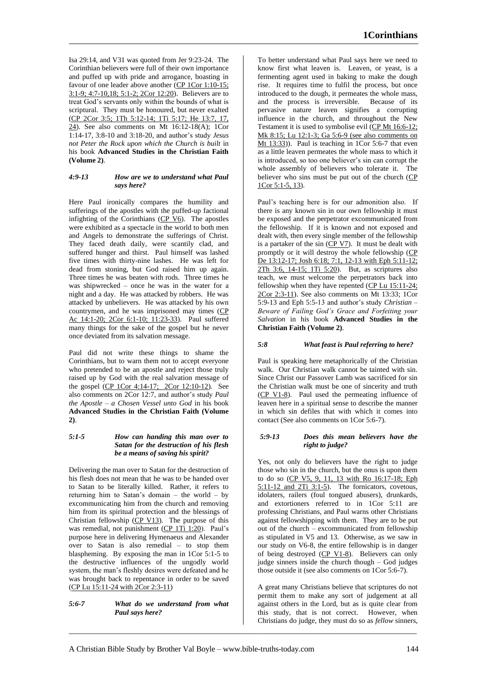Isa 29:14, and V31 was quoted from Jer 9:23-24. The Corinthian believers were full of their own importance and puffed up with pride and arrogance, boasting in favour of one leader above another (CP 1Cor 1:10-15; 3:1-9; 4:7-10,18; 5:1-2; 2Cor 12:20). Believers are to treat God's servants only within the bounds of what is scriptural. They must be honoured, but never exalted (CP 2Cor 3:5; 1Th 5:12-14; 1Ti 5:17; He 13:7, 17, 24). See also comments on Mt 16:12-18(A); 1Cor 1:14-17, 3:8-10 and 3:18-20, and author's study *Jesus not Peter the Rock upon which the Church is built* in his book **Advanced Studies in the Christian Faith (Volume 2)**.

# *4:9-13 How are we to understand what Paul says here?*

Here Paul ironically compares the humility and sufferings of the apostles with the puffed-up factional infighting of the Corinthians  $(CP V6)$ . The apostles were exhibited as a spectacle in the world to both men and Angels to demonstrate the sufferings of Christ. They faced death daily, were scantily clad, and suffered hunger and thirst. Paul himself was lashed five times with thirty-nine lashes. He was left for dead from stoning, but God raised him up again. Three times he was beaten with rods. Three times he was shipwrecked – once he was in the water for a night and a day. He was attacked by robbers. He was attacked by unbelievers. He was attacked by his own countrymen, and he was imprisoned may times (CP Ac 14:1-20; 2Cor 6:1-10; 11:23-33). Paul suffered many things for the sake of the gospel but he never once deviated from its salvation message.

Paul did not write these things to shame the Corinthians, but to warn them not to accept everyone who pretended to be an apostle and reject those truly raised up by God with the real salvation message of the gospel (CP 1Cor 4:14-17; 2Cor 12:10-12). See also comments on 2Cor 12:7, and author's study *Paul the Apostle – a Chosen Vessel unto God* in his book **Advanced Studies in the Christian Faith (Volume 2)**.

# *5:1-5 How can handing this man over to Satan for the destruction of his flesh be a means of saving his spirit?*

Delivering the man over to Satan for the destruction of his flesh does not mean that he was to be handed over to Satan to be literally killed. Rather, it refers to returning him to Satan's domain – the world – by excommunicating him from the church and removing him from its spiritual protection and the blessings of Christian fellowship  $(CP V13)$ . The purpose of this was remedial, not punishment (CP 1Ti 1:20). Paul's purpose here in delivering Hymenaeus and Alexander over to Satan is also remedial – to stop them blaspheming. By exposing the man in 1Cor 5:1-5 to the destructive influences of the ungodly world system, the man's fleshly desires were defeated and he was brought back to repentance in order to be saved (CP Lu 15:11-24 with 2Cor 2:3-11)

# *5:6-7 What do we understand from what Paul says here?*

To better understand what Paul says here we need to know first what leaven is. Leaven, or yeast, is a fermenting agent used in baking to make the dough rise. It requires time to fulfil the process, but once introduced to the dough, it permeates the whole mass, and the process is irreversible. Because of its pervasive nature leaven signifies a corrupting influence in the church, and throughout the New Testament it is used to symbolise evil (CP Mt 16:6-12; Mk 8:15; Lu 12:1-3; Ga 5:6-9 (see also comments on Mt 13:33)). Paul is teaching in 1Cor 5:6-7 that even as a little leaven permeates the whole mass to which it is introduced, so too one believer's sin can corrupt the whole assembly of believers who tolerate it. The believer who sins must be put out of the church (CP 1Cor 5:1-5, 13).

Paul's teaching here is for our admonition also. If there is any known sin in our own fellowship it must be exposed and the perpetrator excommunicated from the fellowship. If it is known and not exposed and dealt with, then every single member of the fellowship is a partaker of the sin  $\overline{(CP V7)}$ . It must be dealt with promptly or it will destroy the whole fellowship (CP De 13:12-17; Josh 6:18; 7:1, 12-13 with Eph 5:11-12; 2Th 3:6, 14-15; 1Ti 5:20). But, as scriptures also teach, we must welcome the perpetrators back into fellowship when they have repented (CP Lu 15:11-24; 2Cor 2:3-11). See also comments on Mt 13:33; 1Cor 5:9-13 and Eph 5:5-13 and author's study *Christian – Beware of Failing God's Grace and Forfeiting your Salvation* in his book **Advanced Studies in the Christian Faith (Volume 2)**.

# *5:8 What feast is Paul referring to here?*

Paul is speaking here metaphorically of the Christian walk. Our Christian walk cannot be tainted with sin. Since Christ our Passover Lamb was sacrificed for sin the Christian walk must be one of sincerity and truth (CP V1-8). Paul used the permeating influence of leaven here in a spiritual sense to describe the manner in which sin defiles that with which it comes into contact (See also comments on 1Cor 5:6-7).

# *5:9-13 Does this mean believers have the right to judge?*

Yes, not only do believers have the right to judge those who sin in the church, but the onus is upon them to do so (CP V5, 9, 11, 13 with Ro 16:17-18; Eph 5:11-12 and 2Ti 3:1-5). The fornicators, covetous, idolaters, railers (foul tongued abusers), drunkards, and extortioners referred to in 1Cor 5:11 are professing Christians, and Paul warns other Christians against fellowshipping with them. They are to be put out of the church – excommunicated from fellowship as stipulated in V5 and 13. Otherwise, as we saw in our study on V6-8, the entire fellowship is in danger of being destroyed (CP V1-8). Believers can only judge sinners inside the church though – God judges those outside it (see also comments on 1Cor 5:6-7).

A great many Christians believe that scriptures do not permit them to make any sort of judgement at all against others in the Lord, but as is quite clear from this study, that is not correct. However, when Christians do judge, they must do so as *fellow* sinners,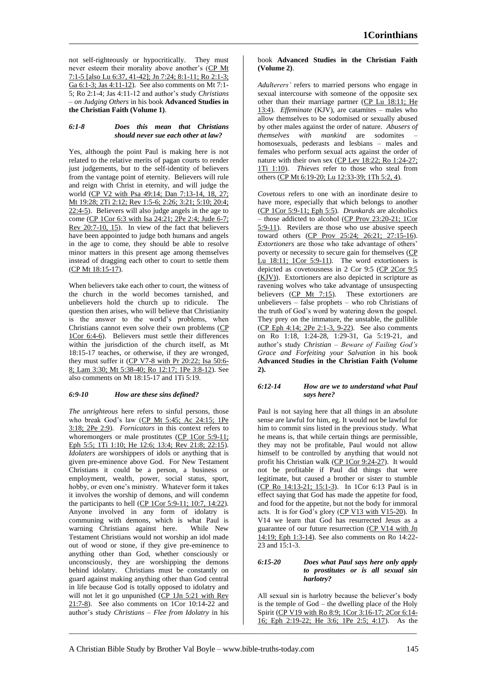not self-righteously or hypocritically. They must never esteem their morality above another's (CP Mt 7:1-5 [also Lu 6:37, 41-42]; Jn 7:24; 8:1-11; Ro 2:1-3; Ga 6:1-3; Jas 4:11-12). See also comments on Mt 7:1- 5; Ro 2:1-4; Jas 4:11-12 and author's study *Christians – on Judging Others* in his book **Advanced Studies in the Christian Faith (Volume 1)**.

# *6:1-8 Does this mean that Christians should never sue each other at law?*

Yes, although the point Paul is making here is not related to the relative merits of pagan courts to render just judgements, but to the self-identity of believers from the vantage point of eternity. Believers will rule and reign with Christ in eternity, and will judge the world (CP V2 with Psa 49:14; Dan 7:13-14, 18, 27; Mt 19:28; 2Ti 2:12; Rev 1:5-6; 2:26; 3:21; 5:10; 20:4;  $\overline{22:4-5}$ . Believers will also judge angels in the age to come (CP 1Cor 6:3 with Isa 24:21; 2Pe 2:4; Jude 6-7; Rev 20:7-10, 15). In view of the fact that believers have been appointed to judge both humans and angels in the age to come, they should be able to resolve minor matters in this present age among themselves instead of dragging each other to court to settle them (CP Mt 18:15-17).

When believers take each other to court, the witness of the church in the world becomes tarnished, and unbelievers hold the church up to ridicule. The question then arises, who will believe that Christianity is the answer to the world's problems, when Christians cannot even solve their own problems (CP 1Cor 6:4-6). Believers must settle their differences within the jurisdiction of the church itself, as Mt 18:15-17 teaches, or otherwise, if they are wronged, they must suffer it (CP V7-8 with Pr 20:22; Isa 50:6- 8; Lam 3:30; Mt 5:38-40; Ro 12:17; 1Pe 3:8-12). See also comments on Mt 18:15-17 and 1Ti 5:19.

# *6:9-10 How are these sins defined?*

*The unrighteous* here refers to sinful persons, those who break God's law (CP Mt 5:45; Ac 24:15; 1Pe 3:18; 2Pe 2:9). *Fornicators* in this context refers to whoremongers or male prostitutes (CP 1Cor 5:9-11; Eph 5:5; 1Ti 1:10; He 12:6; 13:4; Rev 21:8; 22:15). *Idolaters* are worshippers of idols or anything that is given pre-eminence above God. For New Testament Christians it could be a person, a business or employment, wealth, power, social status, sport, hobby, or even one's ministry. Whatever form it takes it involves the worship of demons, and will condemn the participants to hell (CP 1Cor 5:9-11; 10:7, 14:22). Anyone involved in any form of idolatry is communing with demons, which is what Paul is warning Christians against here. While New Testament Christians would not worship an idol made out of wood or stone, if they give pre-eminence to anything other than God, whether consciously or unconsciously, they are worshipping the demons behind idolatry. Christians must be constantly on guard against making anything other than God central in life because God is totally opposed to idolatry and will not let it go unpunished (CP 1Jn 5:21 with Rev 21:7-8). See also comments on 1Cor 10:14-22 and author's study *Christians – Flee from Idolatry* in his

# book **Advanced Studies in the Christian Faith (Volume 2)**.

*Adulterers'* refers to married persons who engage in sexual intercourse with someone of the opposite sex other than their marriage partner (CP Lu 18:11; He 13:4). *Effeminate* (KJV), are catamites – males who allow themselves to be sodomised or sexually abused by other males against the order of nature. *Abusers of themselves with mankind* are sodomites – homosexuals, pederasts and lesbians – males and females who perform sexual acts against the order of nature with their own sex (CP Lev 18:22; Ro 1:24-27; 1Ti 1:10). *Thieves* refer to those who steal from others (CP Mt 6:19-20; Lu 12:33-39; 1Th 5:2, 4).

*Covetous* refers to one with an inordinate desire to have more, especially that which belongs to another (CP 1Cor 5:9-11; Eph 5:5). *Drunkards* are alcoholics – those addicted to alcohol (CP Prov 23:20-21; 1Cor 5:9-11). Revilers are those who use abusive speech toward others (CP Prov 25:24; 26:21; 27:15-16). *Extortioners* are those who take advantage of others' poverty or necessity to secure gain for themselves (CP Lu  $18:11$ ; 1Cor  $5:9-11$ ). The word extortioners is depicted as covetousness in 2 Cor 9:5 (CP 2Cor 9:5 (KJV)). Extortioners are also depicted in scripture as ravening wolves who take advantage of unsuspecting believers (CP Mt 7:15). These extortioners are unbelievers – false prophets – who rob Christians of the truth of God's word by watering down the gospel. They prey on the immature, the unstable, the gullible (CP Eph 4:14; 2Pe 2:1-3, 9-22). See also comments on Ro 1:18, 1:24-28, 1:29-31, Ga 5:19-21, and author's study *Christian – Beware of Failing God's Grace and Forfeiting your Salvation* in his book **Advanced Studies in the Christian Faith (Volume 2).**

# *6:12-14 How are we to understand what Paul says here?*

Paul is not saying here that all things in an absolute sense are lawful for him, eg. It would not be lawful for him to commit sins listed in the previous study. What he means is, that while certain things are permissible, they may not be profitable, Paul would not allow himself to be controlled by anything that would not profit his Christian walk (CP 1Cor 9:24-27). It would not be profitable if Paul did things that were legitimate, but caused a brother or sister to stumble (CP Ro 14:13-21; 15:1-3). In 1Cor 6:13 Paul is in effect saying that God has made the appetite for food, and food for the appetite, but not the body for immoral acts. It is for God's glory (CP V13 with V15-20). In V14 we learn that God has resurrected Jesus as a guarantee of our future resurrection (CP V14 with Jn 14:19; Eph 1:3-14). See also comments on Ro 14:22- 23 and 15:1-3.

### *6:15-20 Does what Paul says here only apply to prostitutes or is all sexual sin harlotry?*

All sexual sin is harlotry because the believer's body is the temple of God – the dwelling place of the Holy Spirit (CP V19 with Ro 8:9; 1Cor 3:16-17; 2Cor 6:14- 16; Eph 2:19-22; He 3:6; 1Pe 2:5; 4:17). As the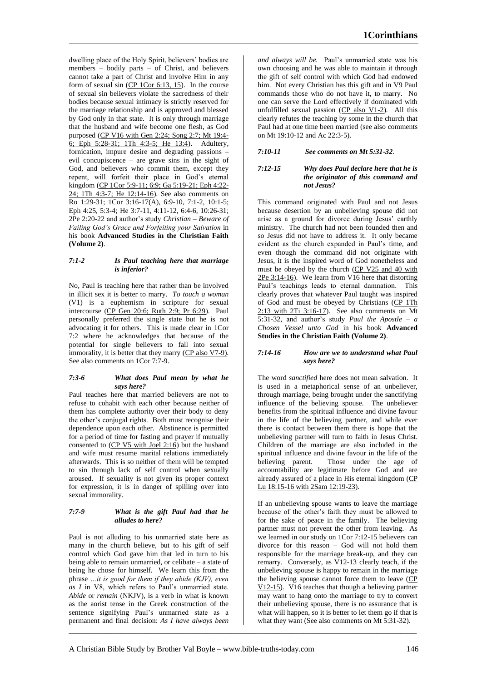dwelling place of the Holy Spirit, believers' bodies are members – bodily parts – of Christ, and believers cannot take a part of Christ and involve Him in any form of sexual sin  $(CP 1Cor 6:13, 15)$ . In the course of sexual sin believers violate the sacredness of their bodies because sexual intimacy is strictly reserved for the marriage relationship and is approved and blessed by God only in that state. It is only through marriage that the husband and wife become one flesh, as God purposed (CP V16 with Gen 2:24; Song 2:7; Mt 19:4- 6; Eph 5:28-31; 1Th 4:3-5; He 13:4). Adultery, fornication, impure desire and degrading passions – evil concupiscence – are grave sins in the sight of God, and believers who commit them, except they repent, will forfeit their place in God's eternal kingdom (CP 1Cor 5:9-11; 6:9; Ga 5:19-21; Eph 4:22- 24; 1Th 4:3-7; He 12:14-16). See also comments on Ro 1:29-31; 1Cor 3:16-17(A), 6:9-10, 7:1-2, 10:1-5; Eph 4:25, 5:3-4; He 3:7-11, 4:11-12, 6:4-6, 10:26-31; 2Pe 2:20-22 and author's study *Christian – Beware of Failing God's Grace and Forfeiting your Salvation* in his book **Advanced Studies in the Christian Faith (Volume 2)**.

# *7:1-2 Is Paul teaching here that marriage is inferior?*

No, Paul is teaching here that rather than be involved in illicit sex it is better to marry. *To touch a woman*  (V1) is a euphemism in scripture for sexual intercourse (CP Gen 20:6; Ruth 2:9; Pr 6:29). Paul personally preferred the single state but he is not advocating it for others. This is made clear in 1Cor 7:2 where he acknowledges that because of the potential for single believers to fall into sexual immorality, it is better that they marry (CP also V7-9). See also comments on 1Cor 7:7-9.

# *7:3-6 What does Paul mean by what he says here?*

Paul teaches here that married believers are not to refuse to cohabit with each other because neither of them has complete authority over their body to deny the other's conjugal rights. Both must recognise their dependence upon each other. Abstinence is permitted for a period of time for fasting and prayer if mutually consented to (CP V5 with Joel 2:16) but the husband and wife must resume marital relations immediately afterwards. This is so neither of them will be tempted to sin through lack of self control when sexually aroused. If sexuality is not given its proper context for expression, it is in danger of spilling over into sexual immorality.

# *7:7-9 What is the gift Paul had that he alludes to here?*

Paul is not alluding to his unmarried state here as many in the church believe, but to his gift of self control which God gave him that led in turn to his being able to remain unmarried, or celibate – a state of being he chose for himself. We learn this from the phrase *…it is good for them if they abide (KJV), even as I* in V8, which refers to Paul's unmarried state. *Abide* or *remain* (NKJV), is a verb in what is known as the aorist tense in the Greek construction of the sentence signifying Paul's unmarried state as a permanent and final decision: *As I have always been* 

*and always will be.* Paul's unmarried state was his own choosing and he was able to maintain it through the gift of self control with which God had endowed him. Not every Christian has this gift and in V9 Paul commands those who do not have it, to marry. No one can serve the Lord effectively if dominated with unfulfilled sexual passion  $(CP$  also V1-2). All this clearly refutes the teaching by some in the church that Paul had at one time been married (see also comments on Mt 19:10-12 and Ac 22:3-5).

# *7:10-11 See comments on Mt 5:31-32*.

# *7:12-15 Why does Paul declare here that he is the originator of this command and not Jesus?*

This command originated with Paul and not Jesus because desertion by an unbelieving spouse did not arise as a ground for divorce during Jesus' earthly ministry. The church had not been founded then and so Jesus did not have to address it. It only became evident as the church expanded in Paul's time, and even though the command did not originate with Jesus, it is the inspired word of God nonetheless and must be obeyed by the church (CP V25 and 40 with 2Pe 3:14-16). We learn from V16 here that distorting Paul's teachings leads to eternal damnation. This clearly proves that whatever Paul taught was inspired of God and must be obeyed by Christians (CP 1Th 2:13 with 2Ti 3:16-17). See also comments on Mt 5:31-32, and author's study *Paul the Apostle – a Chosen Vessel unto God* in his book **Advanced Studies in the Christian Faith (Volume 2)**.

# *7:14-16 How are we to understand what Paul says here?*

The word *sanctified* here does not mean salvation. It is used in a metaphorical sense of an unbeliever, through marriage, being brought under the sanctifying influence of the believing spouse. The unbeliever benefits from the spiritual influence and divine favour in the life of the believing partner, and while ever there is contact between them there is hope that the unbelieving partner will turn to faith in Jesus Christ. Children of the marriage are also included in the spiritual influence and divine favour in the life of the believing parent. Those under the age of accountability are legitimate before God and are already assured of a place in His eternal kingdom (CP Lu 18:15-16 with 2Sam 12:19-23).

If an unbelieving spouse wants to leave the marriage because of the other's faith they must be allowed to for the sake of peace in the family. The believing partner must not prevent the other from leaving. As we learned in our study on 1Cor 7:12-15 believers can divorce for this reason – God will not hold them responsible for the marriage break-up, and they can remarry. Conversely, as V12-13 clearly teach, if the unbelieving spouse is happy to remain in the marriage the believing spouse cannot force them to leave (CP V12-15). V16 teaches that though a believing partner may want to hang onto the marriage to try to convert their unbelieving spouse, there is no assurance that is what will happen, so it is better to let them go if that is what they want (See also comments on Mt 5:31-32).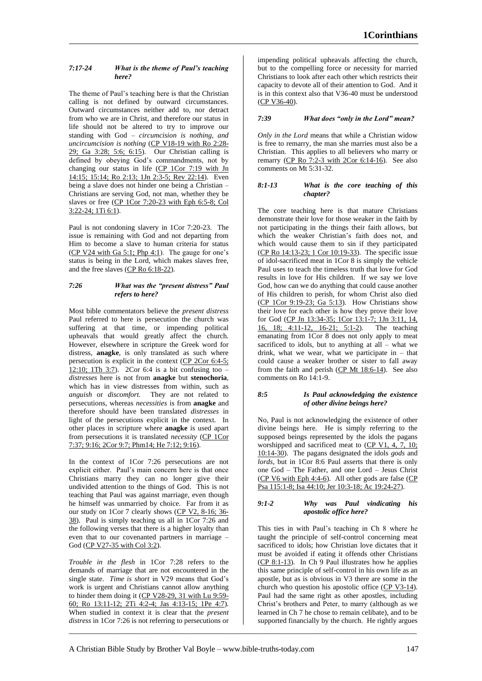# *7:17-24 What is the theme of Paul's teaching here?*

The theme of Paul's teaching here is that the Christian calling is not defined by outward circumstances. Outward circumstances neither add to, nor detract from who we are in Christ, and therefore our status in life should not be altered to try to improve our standing with God – *circumcision is nothing, and uncircumcision is nothing* (CP V18-19 with Ro 2:28- 29; Ga 3:28; 5:6; 6:15). Our Christian calling is defined by obeying God's commandments, not by changing our status in life (CP 1Cor 7:19 with Jn 14:15; 15:14; Ro 2:13; 1Jn 2:3-5; Rev 22:14). Even being a slave does not hinder one being a Christian – Christians are serving God, not man, whether they be slaves or free (CP 1Cor 7:20-23 with Eph 6:5-8; Col 3:22-24; 1Ti 6:1).

Paul is not condoning slavery in 1Cor 7:20-23. The issue is remaining with God and not departing from Him to become a slave to human criteria for status  $(CP V24 with Ga 5:1; Php 4:1)$ . The gauge for one's status is being in the Lord, which makes slaves free, and the free slaves (CP Ro 6:18-22).

# *7:26 What was the "present distress" Paul refers to here?*

Most bible commentators believe the *present distress*  Paul referred to here is persecution the church was suffering at that time, or impending political upheavals that would greatly affect the church. However, elsewhere in scripture the Greek word for distress, **anagke**, is only translated as such where persecution is explicit in the context (CP 2Cor 6:4-5;  $12:10$ ; 1Th 3:7). 2Cor 6:4 is a bit confusing too – *distresses* here is not from **anagke** but **stenochoria**, which has in view distresses from within, such as *anguish* or *discomfort.* They are not related to persecutions, whereas *necessities* is from **anagke** and therefore should have been translated *distresses* in light of the persecutions explicit in the context. In other places in scripture where **anagke** is used apart from persecutions it is translated *necessity* (CP 1Cor 7:37; 9:16; 2Cor 9:7; Phm14; He 7:12; 9:16).

In the context of 1Cor 7:26 persecutions are not explicit either. Paul's main concern here is that once Christians marry they can no longer give their undivided attention to the things of God. This is not teaching that Paul was against marriage, even though he himself was unmarried by choice. Far from it as our study on 1Cor 7 clearly shows (CP V2, 8-16; 36- 38). Paul is simply teaching us all in 1Cor 7:26 and the following verses that there is a higher loyalty than even that to our covenanted partners in marriage – God (CP V27-35 with Col 3:2).

*Trouble in the flesh* in 1Cor 7:28 refers to the demands of marriage that are not encountered in the single state. *Time is short* in V29 means that God's work is urgent and Christians cannot allow anything to hinder them doing it (CP V28-29, 31 with Lu 9:59-60; Ro 13:11-12; 2Ti 4:2-4; Jas 4:13-15; 1Pe 4:7). When studied in context it is clear that the *present distress* in 1Cor 7:26 is not referring to persecutions or

impending political upheavals affecting the church, but to the compelling force or necessity for married Christians to look after each other which restricts their capacity to devote all of their attention to God. And it is in this context also that V36-40 must be understood (CP V36-40).

# *7:39 What does "only in the Lord" mean?*

*Only in the Lord* means that while a Christian widow is free to remarry, the man she marries must also be a Christian. This applies to all believers who marry or remarry (CP Ro 7:2-3 with 2Cor 6:14-16). See also comments on Mt 5:31-32.

# *8:1-13 What is the core teaching of this chapter?*

The core teaching here is that mature Christians demonstrate their love for those weaker in the faith by not participating in the things their faith allows, but which the weaker Christian's faith does not, and which would cause them to sin if they participated (CP Ro 14:13-23; 1 Cor 10:19-33). The specific issue of idol-sacrificed meat in 1Cor 8 is simply the vehicle Paul uses to teach the timeless truth that love for God results in love for His children. If we say we love God, how can we do anything that could cause another of His children to perish, for whom Christ also died (CP 1Cor 9:19-23; Ga 5:13). How Christians show their love for each other is how they prove their love for God (CP Jn 13:34-35; 1Cor 13:1-7; 1Jn 3:11, 14, 16, 18; 4:11-12, 16-21; 5:1-2). The teaching  $16, 18; 4:11-12, 16-21; 5:1-2.$ emanating from 1Cor 8 does not only apply to meat sacrificed to idols, but to anything at all – what we drink, what we wear, what we participate in – that could cause a weaker brother or sister to fall away from the faith and perish  $(CP \t{Mt} 18:6-14)$ . See also comments on Ro 14:1-9.

# *8:5 Is Paul acknowledging the existence of other divine beings here?*

No, Paul is not acknowledging the existence of other divine beings here. He is simply referring to the supposed beings represented by the idols the pagans worshipped and sacrificed meat to (CP V1, 4, 7, 10; 10:14-30). The pagans designated the idols *gods* and *lords,* but in 1Cor 8:6 Paul asserts that there is only one God – The Father, and one Lord – Jesus Christ  $(CP V6 with Eph 4:4-6)$ . All other gods are false  $(CP)$ Psa 115:1-8; Isa 44:10; Jer 10:3-18; Ac 19:24-27).

# *9:1-2 Why was Paul vindicating his apostolic office here?*

This ties in with Paul's teaching in Ch 8 where he taught the principle of self-control concerning meat sacrificed to idols; how Christian love dictates that it must be avoided if eating it offends other Christians (CP 8:1-13). In Ch 9 Paul illustrates how he applies this same principle of self-control in his own life as an apostle, but as is obvious in V3 there are some in the church who question his apostolic office (CP V3-14). Paul had the same right as other apostles, including Christ's brothers and Peter, to marry (although as we learned in Ch 7 he chose to remain celibate), and to be supported financially by the church. He rightly argues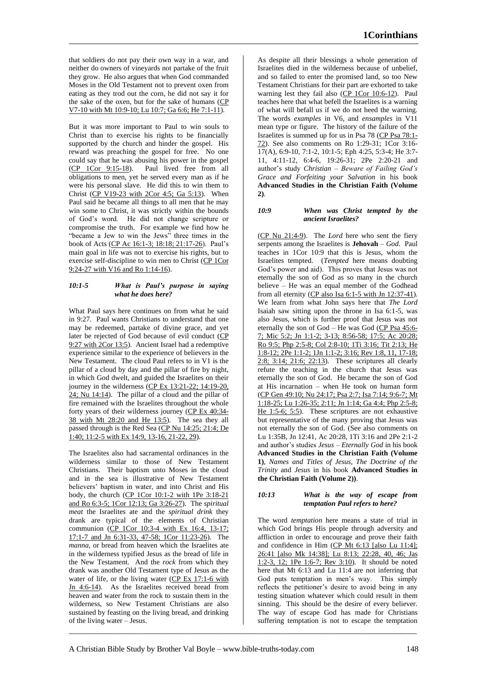that soldiers do not pay their own way in a war, and neither do owners of vineyards not partake of the fruit they grow. He also argues that when God commanded Moses in the Old Testament not to prevent oxen from eating as they trod out the corn, he did not say it for the sake of the oxen, but for the sake of humans (CP V7-10 with Mt 10:9-10; Lu 10:7; Ga 6:6; He 7:1-11).

But it was more important to Paul to win souls to Christ than to exercise his rights to be financially supported by the church and hinder the gospel. His reward was preaching the gospel for free. No one could say that he was abusing his power in the gospel (CP  $1$ Cor  $9:15-18$ ). Paul lived free from all Paul lived free from all obligations to men, yet he served every man as if he were his personal slave. He did this to win them to Christ ( $CP$  V19-23 with 2Cor 4:5; Ga 5:13). When Paul said he became all things to all men that he may win some to Christ, it was strictly within the bounds of God's word. He did not change scripture or compromise the truth. For example we find how he "became a Jew to win the Jews" three times in the book of Acts (CP Ac 16:1-3; 18:18; 21:17-26). Paul's main goal in life was not to exercise his rights, but to exercise self-discipline to win men to Christ (CP 1Cor 9:24-27 with V16 and Ro 1:14-16).

# *10:1-5 What is Paul's purpose in saying what he does here?*

What Paul says here continues on from what he said in 9:27. Paul wants Christians to understand that one may be redeemed, partake of divine grace, and yet later be rejected of God because of evil conduct (CP 9:27 with 2Cor 13:5). Ancient Israel had a redemptive experience similar to the experience of believers in the New Testament. The cloud Paul refers to in V1 is the pillar of a cloud by day and the pillar of fire by night, in which God dwelt, and guided the Israelites on their journey in the wilderness (CP Ex 13:21-22; 14:19-20, 24; Nu 14:14). The pillar of a cloud and the pillar of fire remained with the Israelites throughout the whole forty years of their wilderness journey (CP Ex 40:34- 38 with Mt 28:20 and He 13:5). The sea they all passed through is the Red Sea (CP Nu 14:25; 21:4; De 1:40; 11:2-5 with Ex 14:9, 13-16, 21-22, 29).

The Israelites also had sacramental ordinances in the wilderness similar to those of New Testament Christians. Their baptism unto Moses in the cloud and in the sea is illustrative of New Testament believers' baptism in water, and into Christ and His body, the church (CP 1Cor 10:1-2 with 1Pe 3:18-21 and Ro 6:3-5; 1Cor 12:13; Ga 3:26-27). The *spiritual meat* the Israelites ate and the *spiritual drink* they drank are typical of the elements of Christian communion (CP 1Cor 10:3-4 with Ex 16:4, 13-17; 17:1-7 and Jn 6:31-33, 47-58; 1Cor 11:23-26). The *manna,* or bread from heaven which the Israelites ate in the wilderness typified Jesus as the bread of life in the New Testament. And the *rock* from which they drank was another Old Testament type of Jesus as the water of life, or the living water (CP Ex 17:1-6 with Jn 4:6-14). As the Israelites received bread from heaven and water from the rock to sustain them in the wilderness, so New Testament Christians are also sustained by feasting on the living bread, and drinking of the living water – Jesus.

As despite all their blessings a whole generation of Israelites died in the wilderness because of unbelief, and so failed to enter the promised land, so too New Testament Christians for their part are exhorted to take warning lest they fail also (CP 1Cor 10:6-12). Paul teaches here that what befell the Israelites is a warning of what will befall us if we do not heed the warning. The words *examples* in V6, and *ensamples* in V11 mean type or figure. The history of the failure of the Israelites is summed up for us in Psa 78 (CP Psa 78:1- 72). See also comments on Ro 1:29-31; 1Cor 3:16- 17(A), 6:9-10, 7:1-2, 10:1-5; Eph 4:25, 5:3-4; He 3:7- 11, 4:11-12, 6:4-6, 19:26-31; 2Pe 2:20-21 and author's study *Christian – Beware of Failing God's Grace and Forfeiting your Salvation* in his book **Advanced Studies in the Christian Faith (Volume 2)**.

# *10:9 When was Christ tempted by the ancient Israelites?*

(CP Nu 21:4-9). The *Lord* here who sent the fiery serpents among the Israelites is **Jehovah** – *God.* Paul teaches in 1Cor 10:9 that this is Jesus, whom the Israelites tempted. (*Tempted* here means doubting God's power and aid). This proves that Jesus was not eternally the son of God as so many in the church believe – He was an equal member of the Godhead from all eternity (CP also Isa 6:1-5 with Jn 12:37-41). We learn from what John says here that *The Lord*  Isaiah saw sitting upon the throne in Isa 6:1-5, was also Jesus, which is further proof that Jesus was not eternally the son of God – He was God (CP Psa 45:6- 7; Mic 5:2; Jn 1:1-2; 3-13; 8:56-58; 17:5; Ac 20:28; Ro 9:5; Php 2:5-8; Col 2:8-10; 1Ti 3:16; Tit 2:13; He 1:8-12; 2Pe 1:1-2; 1Jn 1:1-2; 3:16; Rev 1:8, 11, 17-18; 2:8; 3:14; 21:6; 22:13). These scriptures all clearly refute the teaching in the church that Jesus was eternally the son of God. He became the son of God at His incarnation – when He took on human form (CP Gen 49:10; Nu 24:17; Psa 2:7; Isa 7:14; 9:6-7; Mt 1:18-25; Lu 1:26-35; 2:11; Jn 1:14; Ga 4:4; Php 2:5-8; He 1:5-6; 5:5). These scriptures are not exhaustive but representative of the many proving that Jesus was not eternally the son of God. (See also comments on Lu 1:35B, Jn 12:41, Ac 20:28, 1Ti 3:16 and 2Pe 2:1-2 and author's studies *Jesus – Eternally God* in his book **Advanced Studies in the Christian Faith (Volume 1)**, *Names and Titles of Jesus, The Doctrine of the Trinity* and *Jesus* in his book **Advanced Studies in the Christian Faith (Volume 2))**.

### *10:13 What is the way of escape from temptation Paul refers to here?*

The word *temptation* here means a state of trial in which God brings His people through adversity and affliction in order to encourage and prove their faith and confidence in Him (CP Mt 6:13 [also Lu 11:4]; 26:41 [also Mk 14:38]; Lu 8:13; 22:28, 40, 46; Jas 1:2-3, 12; 1Pe 1:6-7; Rev 3:10). It should be noted here that Mt 6:13 and Lu 11:4 are not inferring that God puts temptation in men's way. This simply reflects the petitioner's desire to avoid being in any testing situation whatever which could result in them sinning. This should be the desire of every believer. The way of escape God has made for Christians suffering temptation is not to escape the temptation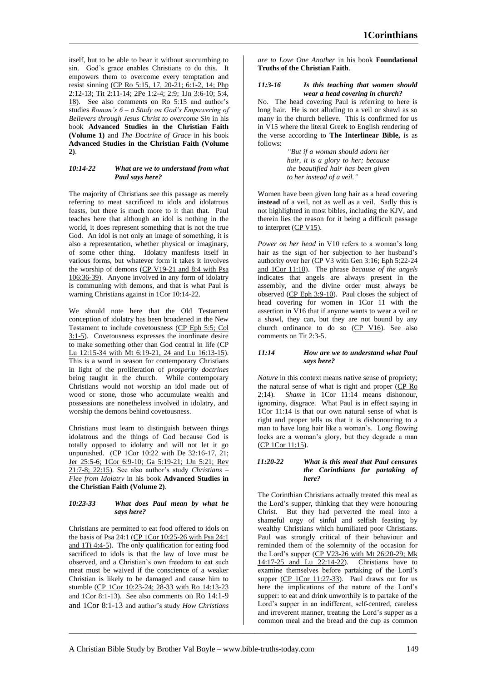itself, but to be able to bear it without succumbing to sin. God's grace enables Christians to do this. It empowers them to overcome every temptation and resist sinning (CP Ro 5:15, 17, 20-21; 6:1-2, 14; Php 2:12-13; Tit 2:11-14; 2Pe 1:2-4; 2:9; 1Jn 3:6-10; 5:4, 18). See also comments on Ro 5:15 and author's studies *Roman's 6 – a Study on God's Empowering of Believers through Jesus Christ to overcome Sin* in his book **Advanced Studies in the Christian Faith (Volume 1)** and *The Doctrine of Grace* in his book **Advanced Studies in the Christian Faith (Volume 2)**.

# *10:14-22 What are we to understand from what Paul says here?*

The majority of Christians see this passage as merely referring to meat sacrificed to idols and idolatrous feasts, but there is much more to it than that. Paul teaches here that although an idol is nothing in the world, it does represent something that is not the true God. An idol is not only an image of something, it is also a representation, whether physical or imaginary, of some other thing. Idolatry manifests itself in various forms, but whatever form it takes it involves the worship of demons (CP V19-21 and 8:4 with Psa 106:36-39). Anyone involved in any form of idolatry is communing with demons, and that is what Paul is warning Christians against in 1Cor 10:14-22.

We should note here that the Old Testament conception of idolatry has been broadened in the New Testament to include covetousness (CP Eph 5:5; Col 3:1-5). Covetousness expresses the inordinate desire to make something other than God central in life (CP Lu 12:15-34 with Mt 6:19-21, 24 and Lu 16:13-15). This is a word in season for contemporary Christians in light of the proliferation of *prosperity doctrines*  being taught in the church. While contemporary Christians would not worship an idol made out of wood or stone, those who accumulate wealth and possessions are nonetheless involved in idolatry, and worship the demons behind covetousness.

Christians must learn to distinguish between things idolatrous and the things of God because God is totally opposed to idolatry and will not let it go unpunished. (CP 1Cor 10:22 with De 32:16-17, 21; Jer 25:5-6; 1Cor 6:9-10; Ga 5:19-21; 1Jn 5:21; Rev 21:7-8; 22:15). See also author's study *Christians – Flee from Idolatry* in his book **Advanced Studies in the Christian Faith (Volume 2)**.

### *10:23-33 What does Paul mean by what he says here?*

Christians are permitted to eat food offered to idols on the basis of Psa 24:1 (CP 1Cor 10:25-26 with Psa 24:1 and 1Ti 4:4-5). The only qualification for eating food sacrificed to idols is that the law of love must be observed, and a Christian's own freedom to eat such meat must be waived if the conscience of a weaker Christian is likely to be damaged and cause him to stumble (CP 1Cor 10:23-24; 28-33 with Ro 14:13-23 and 1Cor 8:1-13). See also comments on Ro 14:1-9 and 1Cor 8:1-13 and author's study *How Christians* 

*are to Love One Another* in his book **Foundational Truths of the Christian Faith**.

### *11:3-16 Is this teaching that women should wear a head covering in church?*

No. The head covering Paul is referring to here is long hair. He is not alluding to a veil or shawl as so many in the church believe. This is confirmed for us in V15 where the literal Greek to English rendering of the verse according to **The Interlinear Bible,** is as follows:

> *"But if a woman should adorn her hair, it is a glory to her; because the beautified hair has been given to her instead of a veil."*

Women have been given long hair as a head covering **instead** of a veil, not as well as a veil. Sadly this is not highlighted in most bibles, including the KJV, and therein lies the reason for it being a difficult passage to interpret (CP V15).

*Power on her head* in V10 refers to a woman's long hair as the sign of her subjection to her husband's authority over her (CP V3 with Gen 3:16; Eph 5:22-24 and 1Cor 11:10). The phrase *because of the angels*  indicates that angels are always present in the assembly, and the divine order must always be observed (CP Eph 3:9-10). Paul closes the subject of head covering for women in 1Cor 11 with the assertion in V16 that if anyone wants to wear a veil or a shawl, they can, but they are not bound by any church ordinance to do so  $\overline{(CP \ V16)}$ . See also comments on Tit 2:3-5.

# *11:14 How are we to understand what Paul says here?*

*Nature* in this context means native sense of propriety; the natural sense of what is right and proper (CP Ro 2:14). *Shame* in 1Cor 11:14 means dishonour, ignominy, disgrace. What Paul is in effect saying in 1Cor 11:14 is that our own natural sense of what is right and proper tells us that it is dishonouring to a man to have long hair like a woman's. Long flowing locks are a woman's glory, but they degrade a man (CP 1Cor 11:15).

### *11:20-22 What is this meal that Paul censures the Corinthians for partaking of here?*

The Corinthian Christians actually treated this meal as the Lord's supper, thinking that they were honouring Christ. But they had perverted the meal into a shameful orgy of sinful and selfish feasting by wealthy Christians which humiliated poor Christians. Paul was strongly critical of their behaviour and reminded them of the solemnity of the occasion for the Lord's supper (CP V23-26 with Mt 26:20-29; Mk 14:17-25 and Lu 22:14-22). Christians have to examine themselves before partaking of the Lord's supper (CP 1Cor 11:27-33). Paul draws out for us here the implications of the nature of the Lord's supper: to eat and drink unworthily is to partake of the Lord's supper in an indifferent, self-centred, careless and irreverent manner, treating the Lord's supper as a common meal and the bread and the cup as common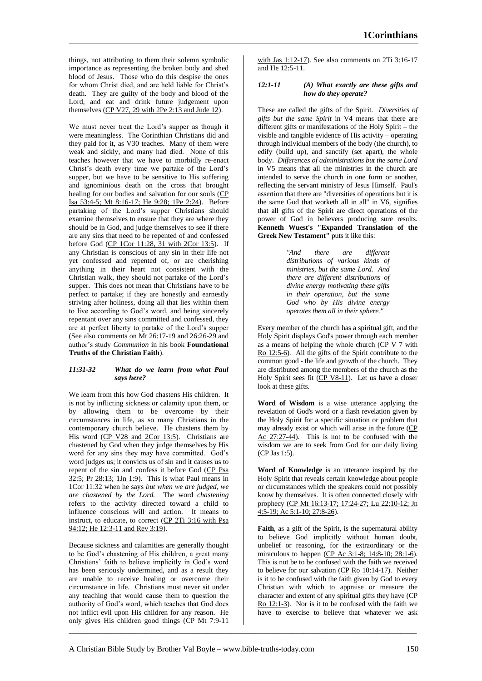things, not attributing to them their solemn symbolic importance as representing the broken body and shed blood of Jesus. Those who do this despise the ones for whom Christ died, and are held liable for Christ's death. They are guilty of the body and blood of the Lord, and eat and drink future judgement upon themselves  $(CP V27, 29 with 2Pe 2:13 and Jude 12)$ .

We must never treat the Lord's supper as though it were meaningless. The Corinthian Christians did and they paid for it, as V30 teaches. Many of them were weak and sickly, and many had died. None of this teaches however that we have to morbidly re-enact Christ's death every time we partake of the Lord's supper, but we have to be sensitive to His suffering and ignominious death on the cross that brought healing for our bodies and salvation for our souls (CP Isa 53:4-5; Mt 8:16-17; He 9:28; 1Pe 2:24). Before partaking of the Lord's supper Christians should examine themselves to ensure that they are where they should be in God, and judge themselves to see if there are any sins that need to be repented of and confessed before God (CP 1Cor 11:28, 31 with 2Cor 13:5). If any Christian is conscious of any sin in their life not yet confessed and repented of, or are cherishing anything in their heart not consistent with the Christian walk, they should not partake of the Lord's supper. This does not mean that Christians have to be perfect to partake; if they are honestly and earnestly striving after holiness, doing all that lies within them to live according to God's word, and being sincerely repentant over any sins committed and confessed, they are at perfect liberty to partake of the Lord's supper (See also comments on Mt 26:17-19 and 26:26-29 and author's study *Communion* in his book **Foundational Truths of the Christian Faith**).

# *11:31-32 What do we learn from what Paul says here?*

We learn from this how God chastens His children. It is not by inflicting sickness or calamity upon them, or by allowing them to be overcome by their circumstances in life, as so many Christians in the contemporary church believe. He chastens them by His word (CP V28 and 2Cor 13:5). Christians are chastened by God when they judge themselves by His word for any sins they may have committed. God's word judges us; it convicts us of sin and it causes us to repent of the sin and confess it before God (CP Psa 32:5; Pr 28:13; 1Jn 1:9). This is what Paul means in 1Cor 11:32 when he says *but when we are judged, we are chastened by the Lord.* The word *chastening*  refers to the activity directed toward a child to influence conscious will and action. It means to instruct, to educate, to correct (CP 2Ti 3:16 with Psa 94:12; He 12:3-11 and Rev 3:19).

Because sickness and calamities are generally thought to be God's chastening of His children, a great many Christians' faith to believe implicitly in God's word has been seriously undermined, and as a result they are unable to receive healing or overcome their circumstance in life. Christians must never sit under any teaching that would cause them to question the authority of God's word, which teaches that God does not inflict evil upon His children for any reason. He only gives His children good things (CP Mt 7:9-11

with Jas 1:12-17). See also comments on 2Ti 3:16-17 and He 12:5-11.

# *12:1-11 (A) What exactly are these gifts and how do they operate?*

These are called the gifts of the Spirit. *Diversities of gifts but the same Spirit* in V4 means that there are different gifts or manifestations of the Holy Spirit – the visible and tangible evidence of His activity – operating through individual members of the body (the church), to edify (build up), and sanctify (set apart), the whole body. *Differences of administrations but the same Lord* in V5 means that all the ministries in the church are intended to serve the church in one form or another, reflecting the servant ministry of Jesus Himself. Paul's assertion that there are "diversities of operations but it is the same God that worketh all in all" in V6, signifies that all gifts of the Spirit are direct operations of the power of God in believers producing sure results. **Kenneth Wuest's "Expanded Translation of the Greek New Testament"** puts it like this:

> *"And there are different distributions of various kinds of ministries, but the same Lord. And there are different distributions of divine energy motivating these gifts in their operation, but the same God who by His divine energy operates them all in their sphere."*

Every member of the church has a spiritual gift, and the Holy Spirit displays God's power through each member as a means of helping the whole church  $(CP V 7 with$ Ro 12:5-6). All the gifts of the Spirit contribute to the common good - the life and growth of the church. They are distributed among the members of the church as the Holy Spirit sees fit (CP V8-11). Let us have a closer look at these gifts.

**Word of Wisdom** is a wise utterance applying the revelation of God's word or a flash revelation given by the Holy Spirit for a specific situation or problem that may already exist or which will arise in the future (CP Ac 27:27-44). This is not to be confused with the wisdom we are to seek from God for our daily living (CP Jas 1:5).

**Word of Knowledge** is an utterance inspired by the Holy Spirit that reveals certain knowledge about people or circumstances which the speakers could not possibly know by themselves. It is often connected closely with prophecy (CP Mt 16:13-17; 17:24-27; Lu 22:10-12; Jn 4:5-19; Ac 5:1-10; 27:8-26).

**Faith**, as a gift of the Spirit, is the supernatural ability to believe God implicitly without human doubt, unbelief or reasoning, for the extraordinary or the miraculous to happen (CP Ac 3:1-8; 14:8-10; 28:1-6). This is not be to be confused with the faith we received to believe for our salvation (CP Ro 10:14-17). Neither is it to be confused with the faith given by God to every Christian with which to appraise or measure the character and extent of any spiritual gifts they have (CP Ro 12:1-3). Nor is it to be confused with the faith we have to exercise to believe that whatever we ask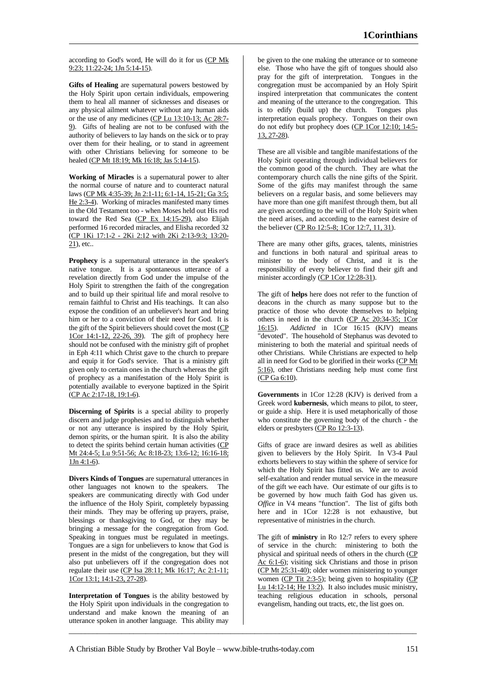according to God's word, He will do it for us (CP Mk 9:23; 11:22-24; 1Jn 5:14-15).

**Gifts of Healing** are supernatural powers bestowed by the Holy Spirit upon certain individuals, empowering them to heal all manner of sicknesses and diseases or any physical ailment whatever without any human aids or the use of any medicines (CP Lu 13:10-13; Ac 28:7- 9). Gifts of healing are not to be confused with the authority of believers to lay hands on the sick or to pray over them for their healing, or to stand in agreement with other Christians believing for someone to be healed (CP Mt 18:19; Mk 16:18; Jas 5:14-15).

**Working of Miracles** is a supernatural power to alter the normal course of nature and to counteract natural laws (CP Mk 4:35-39; Jn 2:1-11; 6:1-14, 15-21; Ga 3:5; He 2:3-4). Working of miracles manifested many times in the Old Testament too - when Moses held out His rod toward the Red Sea (CP Ex 14:15-29), also Elijah performed 16 recorded miracles, and Elisha recorded 32 (CP 1Ki 17:1-2 - 2Ki 2:12 with 2Ki 2:13-9:3; 13:20-  $21$ ), etc..

**Prophecy** is a supernatural utterance in the speaker's native tongue. It is a spontaneous utterance of a revelation directly from God under the impulse of the Holy Spirit to strengthen the faith of the congregation and to build up their spiritual life and moral resolve to remain faithful to Christ and His teachings. It can also expose the condition of an unbeliever's heart and bring him or her to a conviction of their need for God. It is the gift of the Spirit believers should covet the most (CP 1Cor 14:1-12, 22-26, 39). The gift of prophecy here should not be confused with the ministry gift of prophet in Eph 4:11 which Christ gave to the church to prepare and equip it for God's service. That is a ministry gift given only to certain ones in the church whereas the gift of prophecy as a manifestation of the Holy Spirit is potentially available to everyone baptized in the Spirit (CP Ac 2:17-18, 19:1-6).

**Discerning of Spirits** is a special ability to properly discern and judge prophesies and to distinguish whether or not any utterance is inspired by the Holy Spirit, demon spirits, or the human spirit. It is also the ability to detect the spirits behind certain human activities (CP Mt 24:4-5; Lu 9:51-56; Ac 8:18-23; 13:6-12; 16:16-18; 1Jn 4:1-6).

**Divers Kinds of Tongues** are supernatural utterances in other languages not known to the speakers. The speakers are communicating directly with God under the influence of the Holy Spirit, completely bypassing their minds. They may be offering up prayers, praise, blessings or thanksgiving to God, or they may be bringing a message for the congregation from God. Speaking in tongues must be regulated in meetings. Tongues are a sign for unbelievers to know that God is present in the midst of the congregation, but they will also put unbelievers off if the congregation does not regulate their use (CP Isa 28:11; Mk 16:17; Ac 2:1-11; 1Cor 13:1; 14:1-23, 27-28).

**Interpretation of Tongues** is the ability bestowed by the Holy Spirit upon individuals in the congregation to understand and make known the meaning of an utterance spoken in another language. This ability may be given to the one making the utterance or to someone else. Those who have the gift of tongues should also pray for the gift of interpretation. Tongues in the congregation must be accompanied by an Holy Spirit inspired interpretation that communicates the content and meaning of the utterance to the congregation. This is to edify (build up) the church. Tongues plus interpretation equals prophecy. Tongues on their own do not edify but prophecy does (CP 1Cor 12:10; 14:5- 13, 27-28).

These are all visible and tangible manifestations of the Holy Spirit operating through individual believers for the common good of the church. They are what the contemporary church calls the nine gifts of the Spirit. Some of the gifts may manifest through the same believers on a regular basis, and some believers may have more than one gift manifest through them, but all are given according to the will of the Holy Spirit when the need arises, and according to the earnest desire of the believer (CP Ro 12:5-8; 1Cor 12:7, 11, 31).

There are many other gifts, graces, talents, ministries and functions in both natural and spiritual areas to minister to the body of Christ, and it is the responsibility of every believer to find their gift and minister accordingly (CP 1Cor 12:28-31).

The gift of **helps** here does not refer to the function of deacons in the church as many suppose but to the practice of those who devote themselves to helping others in need in the church (CP Ac 20:34-35; 1Cor 16:15). *Addicted* in 1Cor 16:15 (KJV) means "devoted". The household of Stephanus was devoted to ministering to both the material and spiritual needs of other Christians. While Christians are expected to help all in need for God to be glorified in their works (CP Mt 5:16), other Christians needing help must come first (CP Ga 6:10).

**Governments** in 1Cor 12:28 (KJV) is derived from a Greek word **kubernesis**, which means to pilot, to steer, or guide a ship. Here it is used metaphorically of those who constitute the governing body of the church - the elders or presbyters (CP Ro 12:3-13).

Gifts of grace are inward desires as well as abilities given to believers by the Holy Spirit. In V3-4 Paul exhorts believers to stay within the sphere of service for which the Holy Spirit has fitted us. We are to avoid self-exaltation and render mutual service in the measure of the gift we each have. Our estimate of our gifts is to be governed by how much faith God has given us. *Office* in V4 means "function". The list of gifts both here and in 1Cor 12:28 is not exhaustive, but representative of ministries in the church.

The gift of **ministry** in Ro 12:7 refers to every sphere of service in the church: ministering to both the physical and spiritual needs of others in the church (CP Ac 6:1-6); visiting sick Christians and those in prison (CP Mt 25:31-40); older women ministering to younger women (CP Tit 2:3-5); being given to hospitality (CP Lu 14:12-14; He 13:2). It also includes music ministry, teaching religious education in schools, personal evangelism, handing out tracts, etc, the list goes on.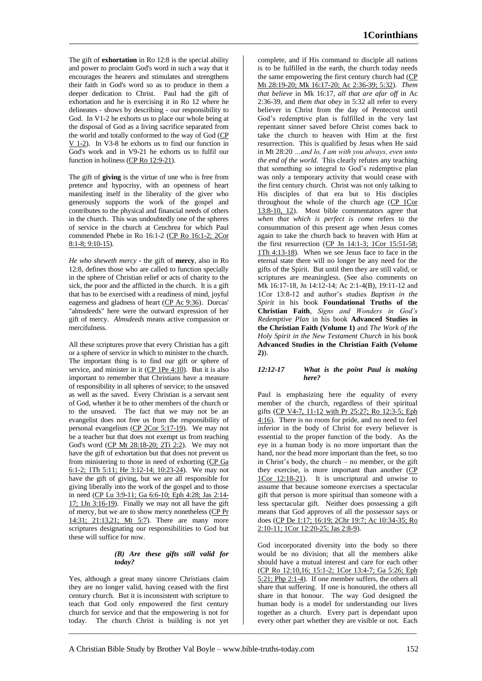The gift of **exhortation** in Ro 12:8 is the special ability and power to proclaim God's word in such a way that it encourages the hearers and stimulates and strengthens their faith in God's word so as to produce in them a deeper dedication to Christ. Paul had the gift of exhortation and he is exercising it in Ro 12 where he delineates - shows by describing - our responsibility to God. In V1-2 he exhorts us to place our whole being at the disposal of God as a living sacrifice separated from the world and totally conformed to the way of God (CP V 1-2). In V3-8 he exhorts us to find our function in God's work and in V9-21 he exhorts us to fulfil our function in holiness (CP Ro 12:9-21).

The gift of **giving** is the virtue of one who is free from pretence and hypocrisy, with an openness of heart manifesting itself in the liberality of the giver who generously supports the work of the gospel and contributes to the physical and financial needs of others in the church. This was undoubtedly one of the spheres of service in the church at Cenchrea for which Paul commended Phebe in Ro 16:1-2 (CP Ro 16:1-2; 2Cor 8:1-8; 9:10-15).

*He who sheweth mercy* - the gift of **mercy**, also in Ro 12:8, defines those who are called to function specially in the sphere of Christian relief or acts of charity to the sick, the poor and the afflicted in the church. It is a gift that has to be exercised with a readiness of mind, joyful eagerness and gladness of heart (CP Ac 9:36). Dorcas' "almsdeeds" here were the outward expression of her gift of mercy. *Almsdeeds* means active compassion or mercifulness.

All these scriptures prove that every Christian has a gift or a sphere of service in which to minister to the church. The important thing is to find our gift or sphere of service, and minister in it  $(CP 1Pe 4:10)$ . But it is also important to remember that Christians have a measure of responsibility in all spheres of service; to the unsaved as well as the saved. Every Christian is a servant sent of God, whether it be to other members of the church or to the unsaved. The fact that we may not be an evangelist does not free us from the responsibility of personal evangelism (CP 2Cor 5:17-19). We may not be a teacher but that does not exempt us from teaching God's word (CP Mt 28:18-20; 2Ti 2:2). We may not have the gift of exhortation but that does not prevent us from ministering to those in need of exhorting (CP Ga 6:1-2; 1Th 5:11; He 3:12-14; 10:23-24). We may not have the gift of giving, but we are all responsible for giving liberally into the work of the gospel and to those in need (CP Lu 3:9-11; Ga 6:6-10; Eph 4:28; Jas 2:14-  $17$ ; 1Jn 3:16-19). Finally we may not all have the gift of mercy, but we are to show mercy nonetheless (CP Pr 14:31; 21:13,21; Mt 5:7). There are many more scriptures designating our responsibilities to God but these will suffice for now.

# *(B) Are these gifts still valid for today?*

Yes, although a great many sincere Christians claim they are no longer valid, having ceased with the first century church. But it is inconsistent with scripture to teach that God only empowered the first century church for service and that the empowering is not for today. The church Christ is building is not yet complete, and if His command to disciple all nations is to be fulfilled in the earth, the church today needs the same empowering the first century church had (CP Mt 28:19-20; Mk 16:17-20; Ac 2:36-39; 5:32). *Them that believe* in Mk 16:17, *all that are afar off* in Ac 2:36-39, and *them that obey* in 5:32 all refer to every believer in Christ from the day of Pentecost until God's redemptive plan is fulfilled in the very last repentant sinner saved before Christ comes back to take the church to heaven with Him at the first resurrection. This is qualified by Jesus when He said in Mt 28:20 *…and lo, I am with you always, even unto the end of the world.* This clearly refutes any teaching that something so integral to God's redemptive plan was only a temporary activity that would cease with the first century church. Christ was not only talking to His disciples of that era but to His disciples throughout the whole of the church age (CP 1Cor 13:8-10, 12). Most bible commentators agree that *when that which is perfect is come* refers to the consummation of this present age when Jesus comes again to take the church back to heaven with Him at the first resurrection (CP Jn 14:1-3; 1Cor 15:51-58; 1Th 4:13-18). When we see Jesus face to face in the eternal state there will no longer be any need for the gifts of the Spirit. But until then they are still valid, or scriptures are meaningless. (See also comments on Mk 16:17-18, Jn 14:12-14; Ac 2:1-4(B), 19:11-12 and 1Cor 13:8-12 and author's studies *Baptism in the Spirit* in his book **Foundational Truths of the Christian Faith**, *Signs and Wonders in God's Redemptive Plan* in his book **Advanced Studies in the Christian Faith (Volume 1)** and *The Work of the Holy Spirit in the New Testament Church* in his book **Advanced Studies in the Christian Faith (Volume 2)**).

# *12:12-17 What is the point Paul is making here?*

Paul is emphasizing here the equality of every member of the church, regardless of their spiritual gifts (CP V4-7, 11-12 with Pr 25:27; Ro 12:3-5; Eph 4:16). There is no room for pride, and no need to feel inferior in the body of Christ for every believer is essential to the proper function of the body. As the eye in a human body is no more important than the hand, nor the head more important than the feet, so too in Christ's body, the church – no member, or the gift they exercise, is more important than another (CP 1Cor 12:18-21). It is unscriptural and unwise to assume that because someone exercises a spectacular gift that person is more spiritual than someone with a less spectacular gift. Neither does possessing a gift means that God approves of all the possessor says or does (CP De 1:17; 16:19; 2Chr 19:7; Ac 10:34-35; Ro 2:10-11; 1Cor 12:20-25; Jas 2:8-9).

God incorporated diversity into the body so there would be no division; that all the members alike should have a mutual interest and care for each other (CP Ro 12:10,16; 15:1-2; 1Cor 13:4-7; Ga 5:26; Eph 5:21; Php 2:1-4). If one member suffers, the others all share that suffering. If one is honoured, the others all share in that honour. The way God designed the human body is a model for understanding our lives together as a church. Every part is dependant upon every other part whether they are visible or not. Each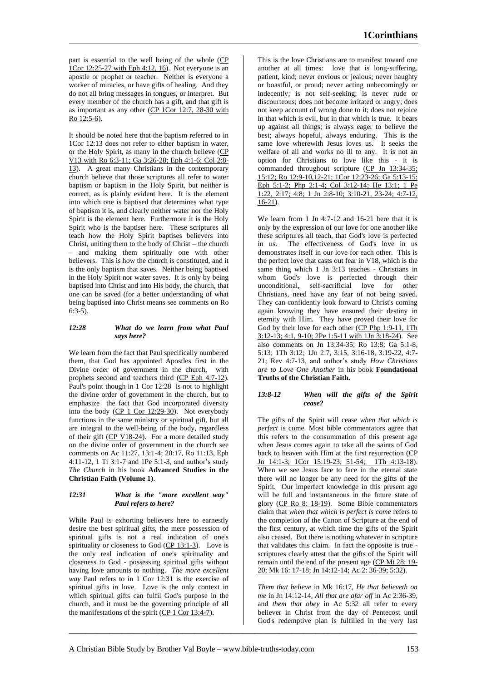part is essential to the well being of the whole (CP 1Cor 12:25-27 with Eph 4:12, 16). Not everyone is an apostle or prophet or teacher. Neither is everyone a worker of miracles, or have gifts of healing. And they do not all bring messages in tongues, or interpret. But every member of the church has a gift, and that gift is as important as any other (CP 1Cor 12:7, 28-30 with Ro 12:5-6).

It should be noted here that the baptism referred to in 1Cor 12:13 does not refer to either baptism in water, or the Holy Spirit, as many in the church believe (CP V13 with Ro 6:3-11; Ga 3:26-28; Eph 4:1-6; Col 2:8- 13). A great many Christians in the contemporary church believe that those scriptures all refer to water baptism or baptism in the Holy Spirit, but neither is correct, as is plainly evident here. It is the element into which one is baptised that determines what type of baptism it is, and clearly neither water nor the Holy Spirit is the element here. Furthermore it is the Holy Spirit who is the baptiser here. These scriptures all teach how the Holy Spirit baptises believers into Christ, uniting them to the body of Christ – the church – and making them spiritually one with other believers. This is how the church is constituted, and it is the only baptism that saves. Neither being baptised in the Holy Spirit nor water saves. It is only by being baptised into Christ and into His body, the church, that one can be saved (for a better understanding of what being baptised into Christ means see comments on Ro 6:3-5).

### *12:28 What do we learn from what Paul says here?*

We learn from the fact that Paul specifically numbered them, that God has appointed Apostles first in the Divine order of government in the church, with prophets second and teachers third (CP Eph 4:7-12). Paul's point though in 1 Cor 12:28 is not to highlight the divine order of government in the church, but to emphasize the fact that God incorporated diversity into the body (CP 1 Cor 12:29-30). Not everybody functions in the same ministry or spiritual gift, but all are integral to the well-being of the body, regardless of their gift  $(CP V18-24)$ . For a more detailed study on the divine order of government in the church see comments on Ac 11:27, 13:1-4; 20:17, Ro 11:13, Eph 4:11-12, 1 Ti 3:1-7 and 1Pe 5:1-3, and author's study *The Church* in his book **Advanced Studies in the Christian Faith (Volume 1)**.

# *12:31 What is the "more excellent way" Paul refers to here?*

While Paul is exhorting believers here to earnestly desire the best spiritual gifts, the mere possession of spiritual gifts is not a real indication of one's spirituality or closeness to God (CP 13:1-3). Love is the only real indication of one's spirituality and closeness to God - possessing spiritual gifts without having love amounts to nothing. *The more excellent way* Paul refers to in 1 Cor 12:31 is the exercise of spiritual gifts in love. Love is the only context in which spiritual gifts can fulfil God's purpose in the church, and it must be the governing principle of all the manifestations of the spirit  $(CP 1 Cor 13:4-7)$ .

This is the love Christians are to manifest toward one another at all times: love that is long-suffering, patient, kind; never envious or jealous; never haughty or boastful, or proud; never acting unbecomingly or indecently; is not self-seeking; is never rude or discourteous; does not become irritated or angry; does not keep account of wrong done to it; does not rejoice in that which is evil, but in that which is true. It bears up against all things; is always eager to believe the best; always hopeful, always enduring. This is the same love wherewith Jesus loves us. It seeks the welfare of all and works no ill to any. It is not an option for Christians to love like this - it is commanded throughout scripture (CP Jn 13:34-35; 15:12; Ro 12:9-10,12-21; 1Cor 12:23-26; Ga 5:13-15; Eph 5:1-2; Php 2:1-4; Col 3:12-14; He 13:1; 1 Pe 1:22, 2:17; 4:8; 1 Jn 2:8-10; 3:10-21, 23-24; 4:7-12, 16-21).

We learn from 1 Jn 4:7-12 and 16-21 here that it is only by the expression of our love for one another like these scriptures all teach, that God's love is perfected in us. The effectiveness of God's love in us demonstrates itself in our love for each other. This is the perfect love that casts out fear in V18, which is the same thing which 1 Jn 3:13 teaches - Christians in whom God's love is perfected through their unconditional, self-sacrificial love for other Christians, need have any fear of not being saved. They can confidently look forward to Christ's coming again knowing they have ensured their destiny in eternity with Him. They have proved their love for God by their love for each other (CP Php 1:9-11, 1Th 3:12-13; 4:1, 9-10; 2Pe 1:5-11 with 1Jn 3:18-24). See also comments on Jn 13:34-35; Ro 13:8; Ga 5:1-8, 5:13; 1Th 3:12; 1Jn 2:7, 3:15, 3:16-18, 3:19-22, 4:7- 21; Rev 4:7-13, and author's study *How Christians are to Love One Another* in his book **Foundational Truths of the Christian Faith.**

# *13:8-12 When will the gifts of the Spirit cease?*

The gifts of the Spirit will cease *when that which is perfect* is come. Most bible commentators agree that this refers to the consummation of this present age when Jesus comes again to take all the saints of God back to heaven with Him at the first resurrection (CP Jn 14:1-3; 1Cor 15:19-23, 51-54; 1Th 4:13-18). When we see Jesus face to face in the eternal state there will no longer be any need for the gifts of the Spirit. Our imperfect knowledge in this present age will be full and instantaneous in the future state of glory (CP Ro 8: 18-19). Some Bible commentators claim that *when that which is perfect is come* refers to the completion of the Canon of Scripture at the end of the first century, at which time the gifts of the Spirit also ceased. But there is nothing whatever in scripture that validates this claim. In fact the opposite is true scriptures clearly attest that the gifts of the Spirit will remain until the end of the present age (CP Mt 28: 19- 20; Mk 16: 17-18; Jn 14:12-14; Ac 2: 36-39; 5:32).

*Them that believe* in Mk 16:17, *He that believeth on me* in Jn 14:12-14, *All that are afar off* in Ac 2:36-39, and *them that obey* in Ac 5:32 all refer to every believer in Christ from the day of Pentecost until God's redemptive plan is fulfilled in the very last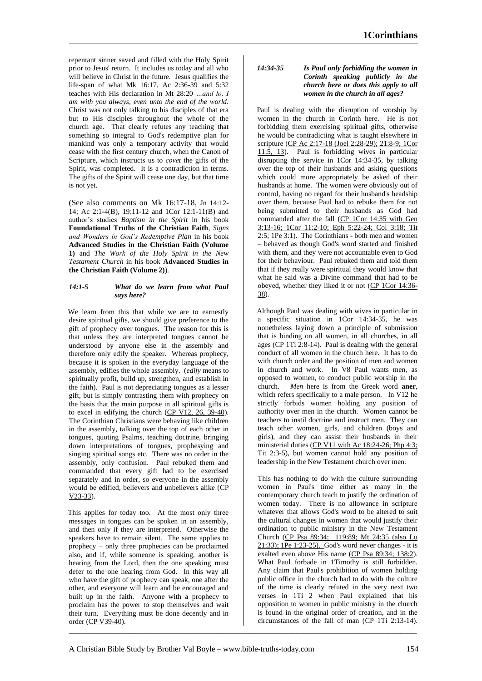repentant sinner saved and filled with the Holy Spirit prior to Jesus' return. It includes us today and all who will believe in Christ in the future. Jesus qualifies the life-span of what Mk 16:17, Ac 2:36-39 and 5:32 teaches with His declaration in Mt 28:20 *…and lo, I am with you always, even unto the end of the world.* Christ was not only talking to his disciples of that era but to His disciples throughout the whole of the church age. That clearly refutes any teaching that something so integral to God's redemptive plan for mankind was only a temporary activity that would cease with the first century church, when the Canon of Scripture, which instructs us to *covet* the gifts of the Spirit, was completed. It is a contradiction in terms. The gifts of the Spirit will cease one day, but that time is not yet.

(See also comments on Mk 16:17-18, Jn 14:12- 14; Ac 2:1-4(B), 19:11-12 and 1Cor 12:1-11(B) and author's studies *Baptism in the Spirit* in his book **Foundational Truths of the Christian Faith**, *Signs and Wonders in God's Redemptive Plan* in his book **Advanced Studies in the Christian Faith (Volume 1)** and *The Work of the Holy Spirit in the New Testament Church* in his book **Advanced Studies in the Christian Faith (Volume 2)**).

# *14:1-5 What do we learn from what Paul says here?*

We learn from this that while we are to earnestly desire spiritual gifts, we should give preference to the gift of prophecy over tongues. The reason for this is that unless they are interpreted tongues cannot be understood by anyone else in the assembly and therefore only edify the speaker. Whereas prophecy, because it is spoken in the everyday language of the assembly, edifies the whole assembly. (*edify* means to spiritually profit, build up, strengthen, and establish in the faith). Paul is not depreciating tongues as a lesser gift, but is simply contrasting them with prophecy on the basis that the main purpose in all spiritual gifts is to excel in edifying the church (CP V12, 26, 39-40). The Corinthian Christians were behaving like children in the assembly, talking over the top of each other in tongues, quoting Psalms, teaching doctrine, bringing down interpretations of tongues, prophesying and singing spiritual songs etc. There was no order in the assembly, only confusion. Paul rebuked them and commanded that every gift had to be exercised separately and in order, so everyone in the assembly would be edified, believers and unbelievers alike (CP V23-33).

This applies for today too. At the most only three messages in tongues can be spoken in an assembly, and then only if they are interpreted. Otherwise the speakers have to remain silent. The same applies to prophecy – only three prophecies can be proclaimed also, and if, while someone is speaking, another is hearing from the Lord, then the one speaking must defer to the one hearing from God. In this way all who have the gift of prophecy can speak, one after the other, and everyone will learn and be encouraged and built up in the faith. Anyone with a prophecy to proclaim has the power to stop themselves and wait their turn. Everything must be done decently and in order (CP V39-40).

### *14:34-35 Is Paul only forbidding the women in Corinth speaking publicly in the church here or does this apply to all women in the church in all ages?*

Paul is dealing with the disruption of worship by women in the church in Corinth here. He is not forbidding them exercising spiritual gifts, otherwise he would be contradicting what is taught elsewhere in scripture (CP Ac 2:17-18 (Joel 2:28-29); 21:8-9; 1Cor 11:5, 13). Paul is forbidding wives in particular disrupting the service in 1Cor 14:34-35, by talking over the top of their husbands and asking questions which could more appropriately be asked of their husbands at home. The women were obviously out of control, having no regard for their husband's headship over them, because Paul had to rebuke them for not being submitted to their husbands as God had commanded after the fall (CP 1Cor 14:35 with Gen 3:13-16; 1Cor 11:2-10; Eph 5:22-24; Col 3:18; Tit 2:5; 1Pe 3:1). The Corinthians - both men and women – behaved as though God's word started and finished with them, and they were not accountable even to God for their behaviour. Paul rebuked them and told them that if they really were spiritual they would know that what he said was a Divine command that had to be obeyed, whether they liked it or not (CP 1Cor 14:36- 38).

Although Paul was dealing with wives in particular in a specific situation in 1Cor 14:34-35, he was nonetheless laying down a principle of submission that is binding on all women, in all churches, in all ages (CP 1Ti 2:8-14). Paul is dealing with the general conduct of all women in the church here. It has to do with church order and the position of men and women in church and work. In V8 Paul wants men, as opposed to women, to conduct public worship in the church. Men here is from the Greek word **aner**. *Men* here is from the Greek word **aner**, which refers specifically to a male person. In V12 he strictly forbids women holding any position of authority over men in the church. Women cannot be teachers to instil doctrine and instruct men. They can teach other women, girls, and children (boys and girls), and they can assist their husbands in their ministerial duties (CP V11 with Ac 18:24-26; Php 4:3; Tit 2:3-5), but women cannot hold any position of leadership in the New Testament church over men.

This has nothing to do with the culture surrounding women in Paul's time either as many in the contemporary church teach to justify the ordination of women today. There is no allowance in scripture whatever that allows God's word to be altered to suit the cultural changes in women that would justify their ordination to public ministry in the New Testament Church (CP Psa 89:34; 119:89; Mt 24:35 (also Lu 21:33); 1Pe 1:23-25). God's word never changes - it is exalted even above His name (CP Psa 89:34; 138:2). What Paul forbade in 1Timothy is still forbidden. Any claim that Paul's prohibition of women holding public office in the church had to do with the culture of the time is clearly refuted in the very next two verses in 1Ti 2 when Paul explained that his opposition to women in public ministry in the church is found in the original order of creation, and in the circumstances of the fall of man (CP 1Ti 2:13-14).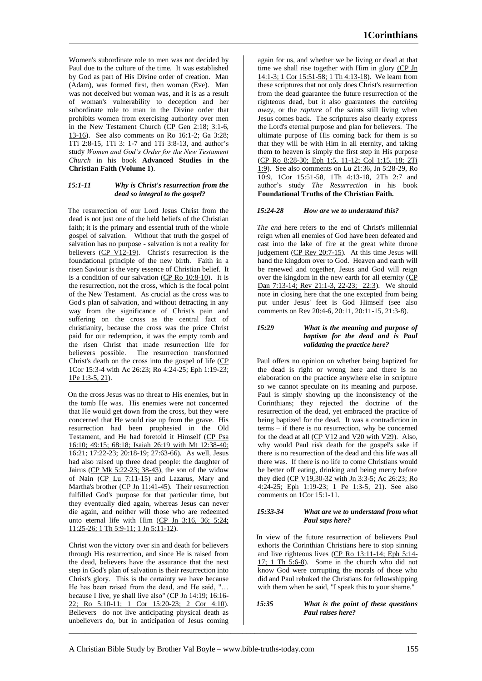Women's subordinate role to men was not decided by Paul due to the culture of the time. It was established by God as part of His Divine order of creation. Man (Adam), was formed first, then woman (Eve). Man was not deceived but woman was, and it is as a result of woman's vulnerability to deception and her subordinate role to man in the Divine order that prohibits women from exercising authority over men in the New Testament Church (CP Gen 2:18; 3:1-6, 13-16). See also comments on Ro 16:1-2; Ga 3:28; 1Ti 2:8-15, 1Ti 3: 1-7 and 1Ti 3:8-13, and author's study *Women and God's Order for the New Testament Church* in his book **Advanced Studies in the Christian Faith (Volume 1)**.

# *15:1-11 Why is Christ's resurrection from the dead so integral to the gospel?*

The resurrection of our Lord Jesus Christ from the dead is not just one of the held beliefs of the Christian faith; it is the primary and essential truth of the whole gospel of salvation. Without that truth the gospel of salvation has no purpose - salvation is not a reality for believers  $\overline{(CP \text{ V12-19})}$ . Christ's resurrection is the foundational principle of the new birth. Faith in a risen Saviour is the very essence of Christian belief. It is a condition of our salvation (CP Ro 10:8-10). It is the resurrection, not the cross, which is the focal point of the New Testament. As crucial as the cross was to God's plan of salvation, and without detracting in any way from the significance of Christ's pain and suffering on the cross as the central fact of christianity, because the cross was the price Christ paid for our redemption, it was the empty tomb and the risen Christ that made resurrection life for believers possible. The resurrection transformed Christ's death on the cross into the gospel of life (CP 1Cor 15:3-4 with Ac 26:23; Ro 4:24-25; Eph 1:19-23; 1Pe 1:3-5, 21).

On the cross Jesus was no threat to His enemies, but in the tomb He was. His enemies were not concerned that He would get down from the cross, but they were concerned that He would rise up from the grave. His resurrection had been prophesied in the Old Testament, and He had foretold it Himself (CP Psa 16:10; 49:15; 68:18; Isaiah 26:19 with Mt 12:38-40; 16:21; 17:22-23; 20:18-19; 27:63-66). As well, Jesus had also raised up three dead people: the daughter of Jairus (CP Mk 5:22-23; 38-43), the son of the widow of Nain (CP Lu 7:11-15) and Lazarus, Mary and Martha's brother (CP Jn 11:41-45). Their resurrection fulfilled God's purpose for that particular time, but they eventually died again, whereas Jesus can never die again, and neither will those who are redeemed unto eternal life with Him (CP Jn 3:16, 36; 5:24; 11:25-26; 1 Th 5:9-11; 1 Jn 5:11-12).

Christ won the victory over sin and death for believers through His resurrection, and since He is raised from the dead, believers have the assurance that the next step in God's plan of salvation is their resurrection into Christ's glory. This is the certainty we have because He has been raised from the dead, and He said, "… because I live, ye shall live also" (CP Jn 14:19; 16:16- 22; Ro 5:10-11; 1 Cor 15:20-23; 2 Cor 4:10). Believers do not live anticipating physical death as unbelievers do, but in anticipation of Jesus coming

again for us, and whether we be living or dead at that time we shall rise together with Him in glory (CP Jn 14:1-3; 1 Cor 15:51-58; 1 Th 4:13-18). We learn from these scriptures that not only does Christ's resurrection from the dead guarantee the future resurrection of the righteous dead, but it also guarantees the *catching away,* or the *rapture* of the saints still living when Jesus comes back. The scriptures also clearly express the Lord's eternal purpose and plan for believers. The ultimate purpose of His coming back for them is so that they will be with Him in all eternity, and taking them to heaven is simply the first step in His purpose (CP Ro 8:28-30; Eph 1:5, 11-12; Col 1:15, 18; 2Ti 1:9). See also comments on Lu 21:36, Jn 5:28-29, Ro 10:9, 1Cor 15:51-58, 1Th 4:13-18, 2Th 2:7 and author's study *The Resurrection* in his book **Foundational Truths of the Christian Faith.**

# *15:24-28 How are we to understand this?*

*The end* here refers to the end of Christ's millennial reign when all enemies of God have been defeated and cast into the lake of fire at the great white throne judgement (CP Rev 20:7-15). At this time Jesus will hand the kingdom over to God. Heaven and earth will be renewed and together, Jesus and God will reign over the kingdom in the new earth for all eternity (CP Dan 7:13-14; Rev 21:1-3, 22-23; 22:3). We should note in closing here that the one excepted from being put under Jesus' feet is God Himself (see also comments on Rev 20:4-6, 20:11, 20:11-15, 21:3-8).

# *15:29 What is the meaning and purpose of baptism for the dead and is Paul validating the practice here?*

Paul offers no opinion on whether being baptized for the dead is right or wrong here and there is no elaboration on the practice anywhere else in scripture so we cannot speculate on its meaning and purpose. Paul is simply showing up the inconsistency of the Corinthians; they rejected the doctrine of the resurrection of the dead, yet embraced the practice of being baptized for the dead. It was a contradiction in terms – if there is no resurrection, why be concerned for the dead at all (CP V12 and V20 with V29). Also, why would Paul risk death for the gospel's sake if there is no resurrection of the dead and this life was all there was. If there is no life to come Christians would be better off eating, drinking and being merry before they died (CP V19,30-32 with Jn 3:3-5; Ac 26:23; Ro 4:24-25; Eph 1:19-23; 1 Pe 1:3-5, 21). See also comments on 1Cor 15:1-11.

# *15:33-34 What are we to understand from what Paul says here?*

In view of the future resurrection of believers Paul exhorts the Corinthian Christians here to stop sinning and live righteous lives (CP Ro 13:11-14; Eph 5:14-  $17$ ; 1 Th  $5:6-8$ ). Some in the church who did not know God were corrupting the morals of those who did and Paul rebuked the Christians for fellowshipping with them when he said, "I speak this to your shame."

### *15:35 What is the point of these questions Paul raises here?*